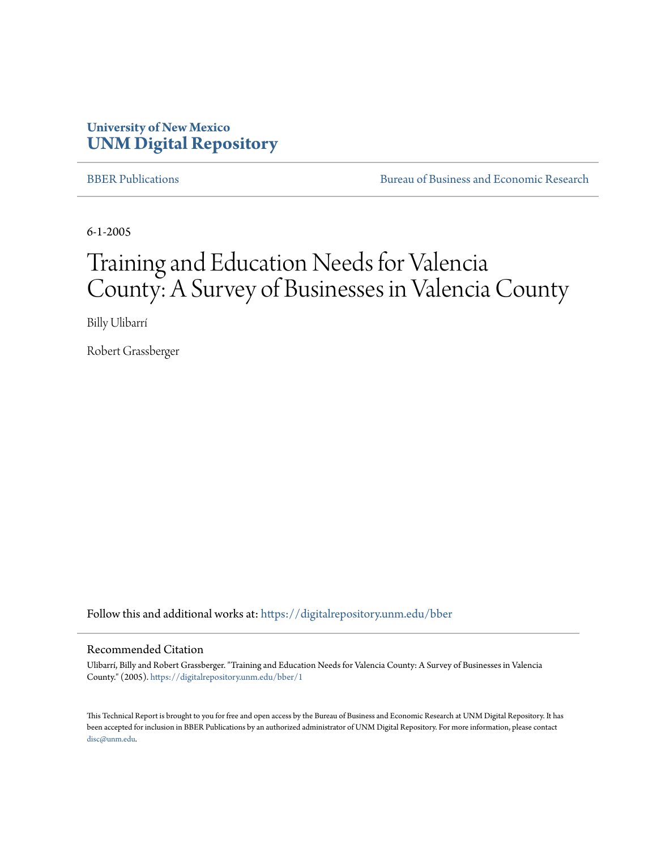## **University of New Mexico [UNM Digital Repository](https://digitalrepository.unm.edu?utm_source=digitalrepository.unm.edu%2Fbber%2F1&utm_medium=PDF&utm_campaign=PDFCoverPages)**

[BBER Publications](https://digitalrepository.unm.edu/bber?utm_source=digitalrepository.unm.edu%2Fbber%2F1&utm_medium=PDF&utm_campaign=PDFCoverPages) [Bureau of Business and Economic Research](https://digitalrepository.unm.edu/business_economic_research?utm_source=digitalrepository.unm.edu%2Fbber%2F1&utm_medium=PDF&utm_campaign=PDFCoverPages)

6-1-2005

# Training and Education Needs for Valencia County: A Survey of Businesses in Valencia County

Billy Ulibarrí

Robert Grassberger

Follow this and additional works at: [https://digitalrepository.unm.edu/bber](https://digitalrepository.unm.edu/bber?utm_source=digitalrepository.unm.edu%2Fbber%2F1&utm_medium=PDF&utm_campaign=PDFCoverPages)

#### Recommended Citation

Ulibarrí, Billy and Robert Grassberger. "Training and Education Needs for Valencia County: A Survey of Businesses in Valencia County." (2005). [https://digitalrepository.unm.edu/bber/1](https://digitalrepository.unm.edu/bber/1?utm_source=digitalrepository.unm.edu%2Fbber%2F1&utm_medium=PDF&utm_campaign=PDFCoverPages)

This Technical Report is brought to you for free and open access by the Bureau of Business and Economic Research at UNM Digital Repository. It has been accepted for inclusion in BBER Publications by an authorized administrator of UNM Digital Repository. For more information, please contact [disc@unm.edu](mailto:disc@unm.edu).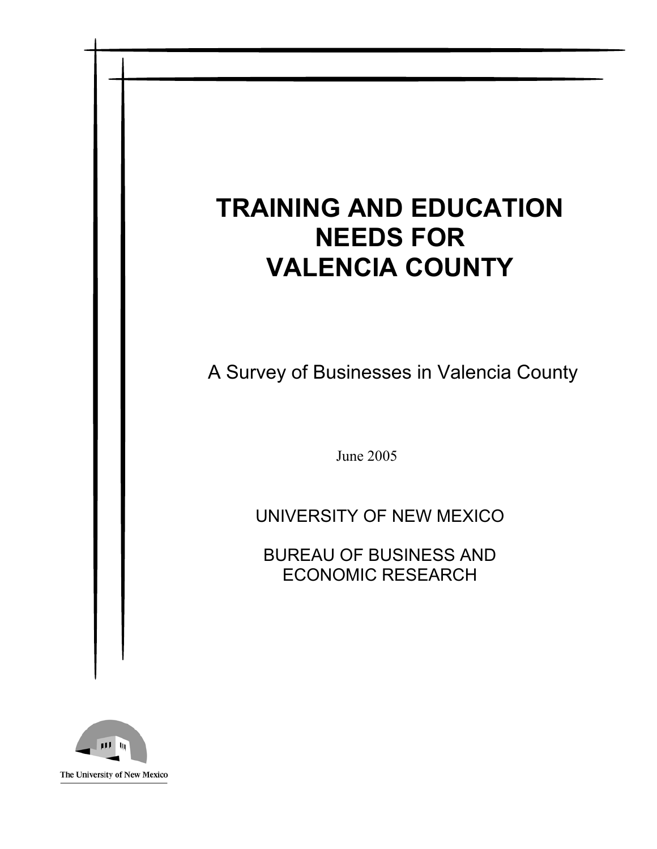# **TRAINING AND EDUCATION NEEDS FOR VALENCIA COUNTY**

A Survey of Businesses in Valencia County

June 2005

UNIVERSITY OF NEW MEXICO

BUREAU OF BUSINESS AND ECONOMIC RESEARCH

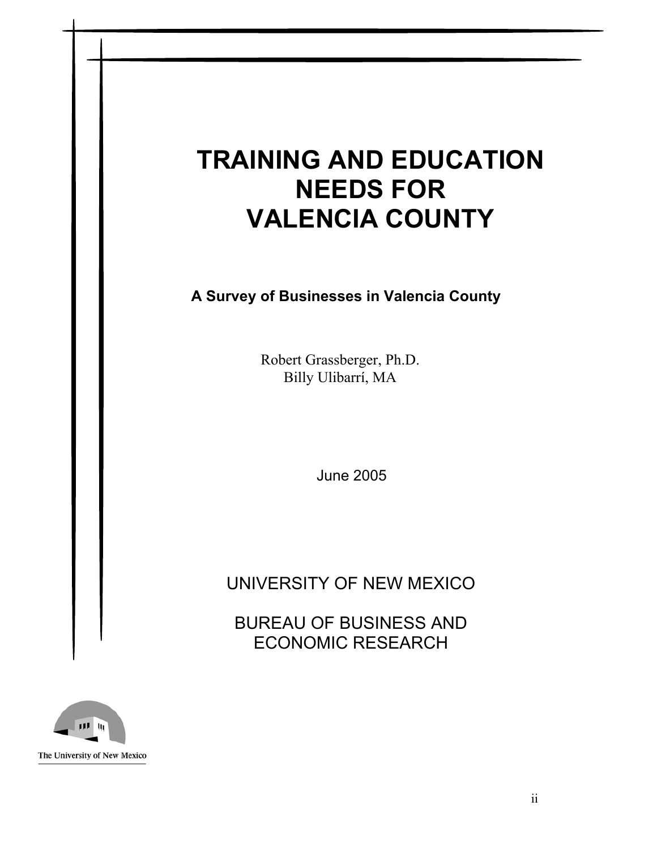# **TRAINING AND EDUCATION NEEDS FOR VALENCIA COUNTY**

**A Survey of Businesses in Valencia County** 

Robert Grassberger, Ph.D. Billy Ulibarrí, MA

June 2005

UNIVERSITY OF NEW MEXICO

BUREAU OF BUSINESS AND ECONOMIC RESEARCH

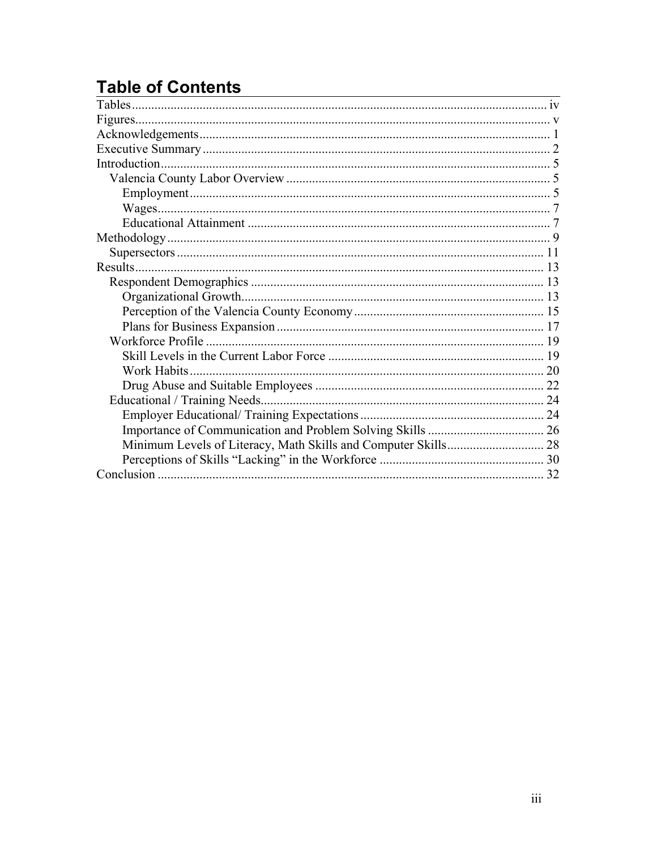# **Table of Contents**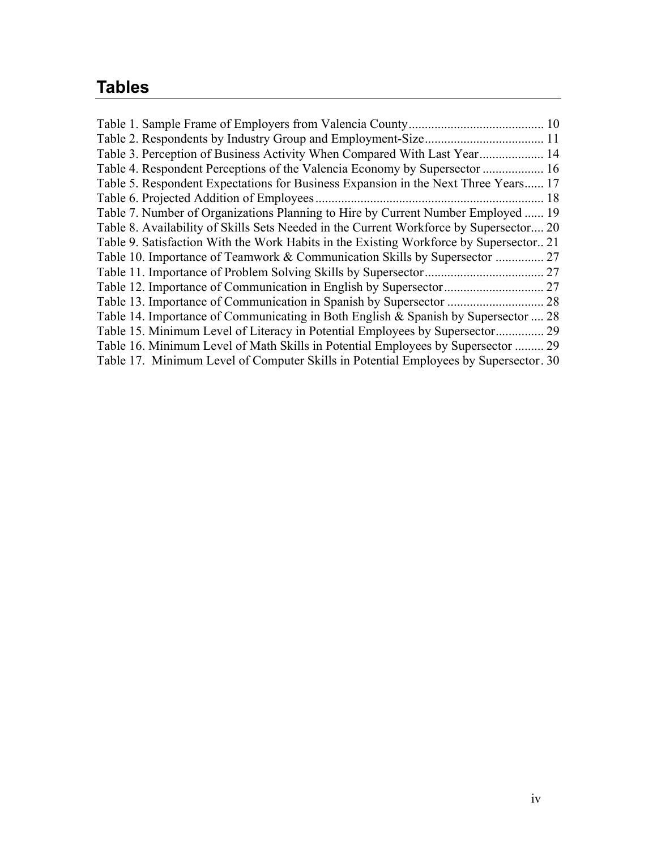# **Tables**

|                                                                                        | 10   |
|----------------------------------------------------------------------------------------|------|
| Table 2. Respondents by Industry Group and Employment-Size.                            | . 11 |
| Table 3. Perception of Business Activity When Compared With Last Year 14               |      |
| Table 4. Respondent Perceptions of the Valencia Economy by Supersector  16             |      |
| Table 5. Respondent Expectations for Business Expansion in the Next Three Years 17     |      |
| Table 6. Projected Addition of Employees.                                              | 18   |
| Table 7. Number of Organizations Planning to Hire by Current Number Employed  19       |      |
| Table 8. Availability of Skills Sets Needed in the Current Workforce by Supersector 20 |      |
| Table 9. Satisfaction With the Work Habits in the Existing Workforce by Supersector 21 |      |
| Table 10. Importance of Teamwork & Communication Skills by Supersector                 | 27   |
| Table 11. Importance of Problem Solving Skills by Supersector.                         | 27   |
|                                                                                        | .27  |
| Table 13. Importance of Communication in Spanish by Supersector                        | 28   |
| Table 14. Importance of Communicating in Both English & Spanish by Supersector         | 28   |
| Table 15. Minimum Level of Literacy in Potential Employees by Supersector              | .29  |
| Table 16. Minimum Level of Math Skills in Potential Employees by Supersector  29       |      |
| Table 17. Minimum Level of Computer Skills in Potential Employees by Supersector. 30   |      |
|                                                                                        |      |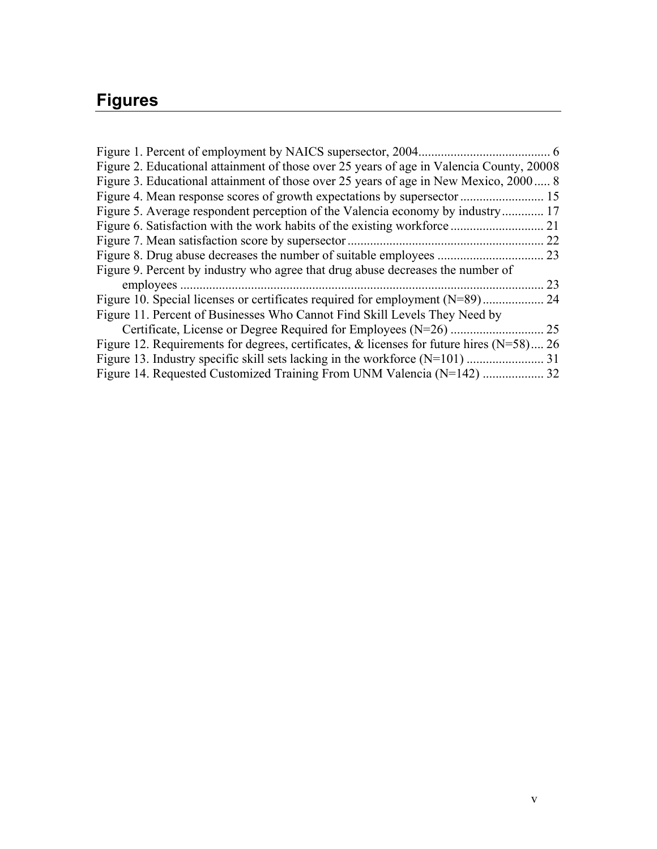# **Figures**

| Figure 1. Percent of employment by NAICS supersector, 2004.                              |      |
|------------------------------------------------------------------------------------------|------|
| Figure 2. Educational attainment of those over 25 years of age in Valencia County, 20008 |      |
| Figure 3. Educational attainment of those over 25 years of age in New Mexico, 2000 8     |      |
|                                                                                          | . 15 |
| Figure 5. Average respondent perception of the Valencia economy by industry              | 17   |
| Figure 6. Satisfaction with the work habits of the existing workforce.                   | 21   |
| Figure 7. Mean satisfaction score by supersector.                                        | 22   |
| Figure 8. Drug abuse decreases the number of suitable employees                          | 23   |
| Figure 9. Percent by industry who agree that drug abuse decreases the number of          |      |
| employees                                                                                | 23   |
| Figure 10. Special licenses or certificates required for employment $(N=89)$             | 24   |
| Figure 11. Percent of Businesses Who Cannot Find Skill Levels They Need by               |      |
| Certificate, License or Degree Required for Employees (N=26)                             | 25   |
| Figure 12. Requirements for degrees, certificates, $\&$ licenses for future hires (N=58) | 26   |
| Figure 13. Industry specific skill sets lacking in the workforce $(N=101)$ .             | 31   |
| Figure 14. Requested Customized Training From UNM Valencia (N=142)                       | 32   |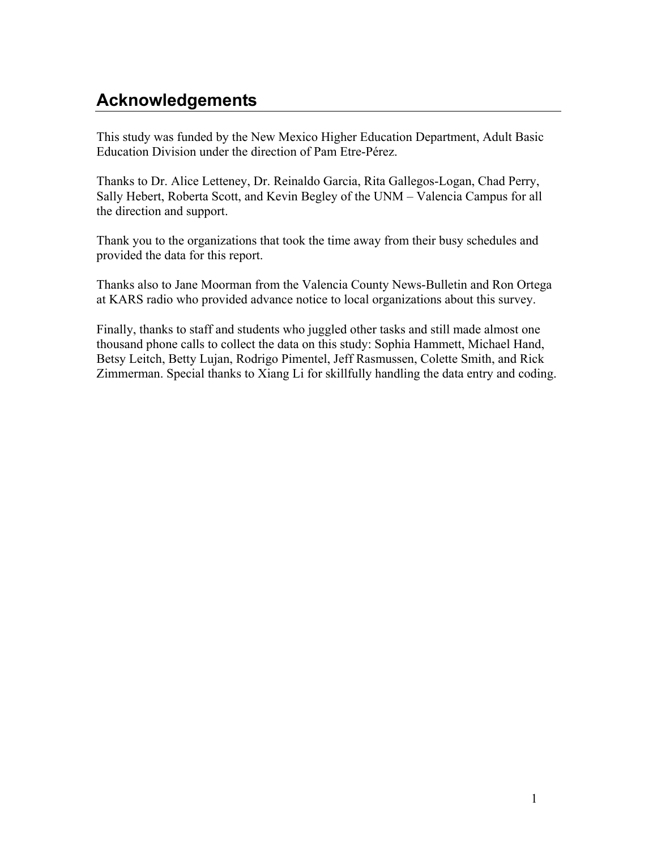# **Acknowledgements**

This study was funded by the New Mexico Higher Education Department, Adult Basic Education Division under the direction of Pam Etre-Pérez.

Thanks to Dr. Alice Letteney, Dr. Reinaldo Garcia, Rita Gallegos-Logan, Chad Perry, Sally Hebert, Roberta Scott, and Kevin Begley of the UNM – Valencia Campus for all the direction and support.

Thank you to the organizations that took the time away from their busy schedules and provided the data for this report.

Thanks also to Jane Moorman from the Valencia County News-Bulletin and Ron Ortega at KARS radio who provided advance notice to local organizations about this survey.

Finally, thanks to staff and students who juggled other tasks and still made almost one thousand phone calls to collect the data on this study: Sophia Hammett, Michael Hand, Betsy Leitch, Betty Lujan, Rodrigo Pimentel, Jeff Rasmussen, Colette Smith, and Rick Zimmerman. Special thanks to Xiang Li for skillfully handling the data entry and coding.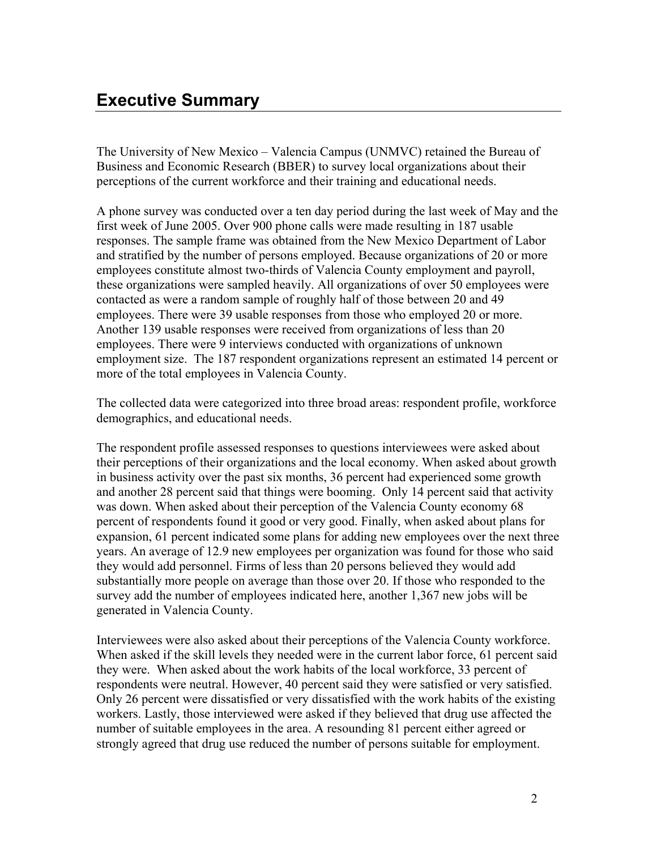The University of New Mexico – Valencia Campus (UNMVC) retained the Bureau of Business and Economic Research (BBER) to survey local organizations about their perceptions of the current workforce and their training and educational needs.

A phone survey was conducted over a ten day period during the last week of May and the first week of June 2005. Over 900 phone calls were made resulting in 187 usable responses. The sample frame was obtained from the New Mexico Department of Labor and stratified by the number of persons employed. Because organizations of 20 or more employees constitute almost two-thirds of Valencia County employment and payroll, these organizations were sampled heavily. All organizations of over 50 employees were contacted as were a random sample of roughly half of those between 20 and 49 employees. There were 39 usable responses from those who employed 20 or more. Another 139 usable responses were received from organizations of less than 20 employees. There were 9 interviews conducted with organizations of unknown employment size. The 187 respondent organizations represent an estimated 14 percent or more of the total employees in Valencia County.

The collected data were categorized into three broad areas: respondent profile, workforce demographics, and educational needs.

The respondent profile assessed responses to questions interviewees were asked about their perceptions of their organizations and the local economy. When asked about growth in business activity over the past six months, 36 percent had experienced some growth and another 28 percent said that things were booming. Only 14 percent said that activity was down. When asked about their perception of the Valencia County economy 68 percent of respondents found it good or very good. Finally, when asked about plans for expansion, 61 percent indicated some plans for adding new employees over the next three years. An average of 12.9 new employees per organization was found for those who said they would add personnel. Firms of less than 20 persons believed they would add substantially more people on average than those over 20. If those who responded to the survey add the number of employees indicated here, another 1,367 new jobs will be generated in Valencia County.

Interviewees were also asked about their perceptions of the Valencia County workforce. When asked if the skill levels they needed were in the current labor force, 61 percent said they were. When asked about the work habits of the local workforce, 33 percent of respondents were neutral. However, 40 percent said they were satisfied or very satisfied. Only 26 percent were dissatisfied or very dissatisfied with the work habits of the existing workers. Lastly, those interviewed were asked if they believed that drug use affected the number of suitable employees in the area. A resounding 81 percent either agreed or strongly agreed that drug use reduced the number of persons suitable for employment.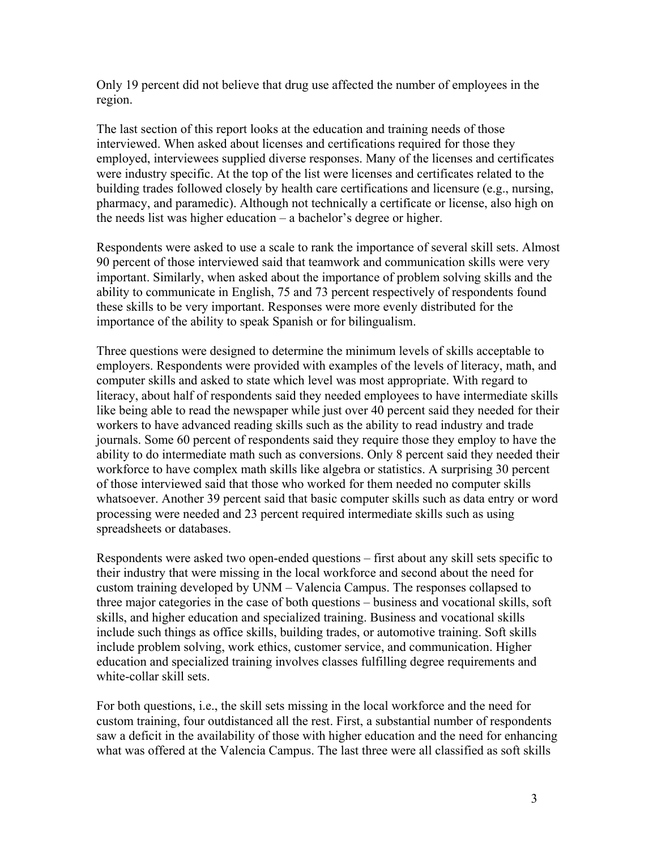Only 19 percent did not believe that drug use affected the number of employees in the region.

The last section of this report looks at the education and training needs of those interviewed. When asked about licenses and certifications required for those they employed, interviewees supplied diverse responses. Many of the licenses and certificates were industry specific. At the top of the list were licenses and certificates related to the building trades followed closely by health care certifications and licensure (e.g., nursing, pharmacy, and paramedic). Although not technically a certificate or license, also high on the needs list was higher education – a bachelor's degree or higher.

Respondents were asked to use a scale to rank the importance of several skill sets. Almost 90 percent of those interviewed said that teamwork and communication skills were very important. Similarly, when asked about the importance of problem solving skills and the ability to communicate in English, 75 and 73 percent respectively of respondents found these skills to be very important. Responses were more evenly distributed for the importance of the ability to speak Spanish or for bilingualism.

Three questions were designed to determine the minimum levels of skills acceptable to employers. Respondents were provided with examples of the levels of literacy, math, and computer skills and asked to state which level was most appropriate. With regard to literacy, about half of respondents said they needed employees to have intermediate skills like being able to read the newspaper while just over 40 percent said they needed for their workers to have advanced reading skills such as the ability to read industry and trade journals. Some 60 percent of respondents said they require those they employ to have the ability to do intermediate math such as conversions. Only 8 percent said they needed their workforce to have complex math skills like algebra or statistics. A surprising 30 percent of those interviewed said that those who worked for them needed no computer skills whatsoever. Another 39 percent said that basic computer skills such as data entry or word processing were needed and 23 percent required intermediate skills such as using spreadsheets or databases.

Respondents were asked two open-ended questions – first about any skill sets specific to their industry that were missing in the local workforce and second about the need for custom training developed by UNM – Valencia Campus. The responses collapsed to three major categories in the case of both questions – business and vocational skills, soft skills, and higher education and specialized training. Business and vocational skills include such things as office skills, building trades, or automotive training. Soft skills include problem solving, work ethics, customer service, and communication. Higher education and specialized training involves classes fulfilling degree requirements and white-collar skill sets.

For both questions, i.e., the skill sets missing in the local workforce and the need for custom training, four outdistanced all the rest. First, a substantial number of respondents saw a deficit in the availability of those with higher education and the need for enhancing what was offered at the Valencia Campus. The last three were all classified as soft skills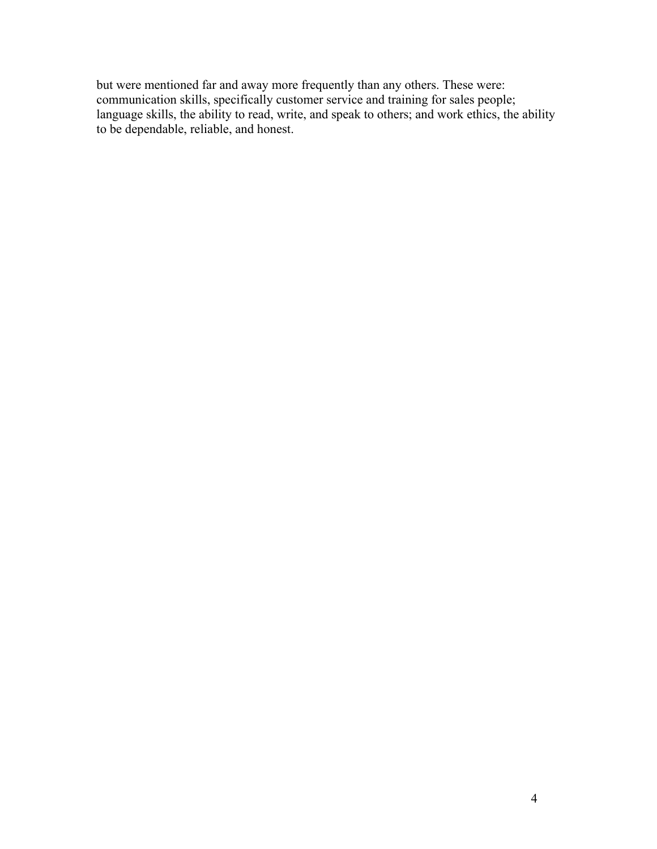but were mentioned far and away more frequently than any others. These were: communication skills, specifically customer service and training for sales people; language skills, the ability to read, write, and speak to others; and work ethics, the ability to be dependable, reliable, and honest.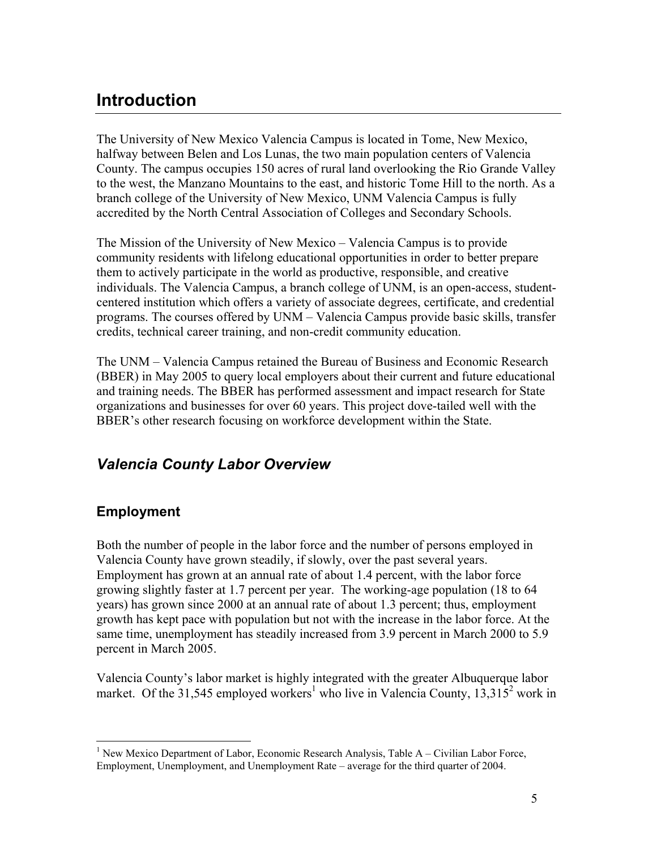## **Introduction**

The University of New Mexico Valencia Campus is located in Tome, New Mexico, halfway between Belen and Los Lunas, the two main population centers of Valencia County. The campus occupies 150 acres of rural land overlooking the Rio Grande Valley to the west, the Manzano Mountains to the east, and historic Tome Hill to the north. As a branch college of the University of New Mexico, UNM Valencia Campus is fully accredited by the North Central Association of Colleges and Secondary Schools.

The Mission of the University of New Mexico – Valencia Campus is to provide community residents with lifelong educational opportunities in order to better prepare them to actively participate in the world as productive, responsible, and creative individuals. The Valencia Campus, a branch college of UNM, is an open-access, studentcentered institution which offers a variety of associate degrees, certificate, and credential programs. The courses offered by UNM – Valencia Campus provide basic skills, transfer credits, technical career training, and non-credit community education.

The UNM – Valencia Campus retained the Bureau of Business and Economic Research (BBER) in May 2005 to query local employers about their current and future educational and training needs. The BBER has performed assessment and impact research for State organizations and businesses for over 60 years. This project dove-tailed well with the BBER's other research focusing on workforce development within the State.

## *Valencia County Labor Overview*

### **Employment**

1

Both the number of people in the labor force and the number of persons employed in Valencia County have grown steadily, if slowly, over the past several years. Employment has grown at an annual rate of about 1.4 percent, with the labor force growing slightly faster at 1.7 percent per year. The working-age population (18 to 64 years) has grown since 2000 at an annual rate of about 1.3 percent; thus, employment growth has kept pace with population but not with the increase in the labor force. At the same time, unemployment has steadily increased from 3.9 percent in March 2000 to 5.9 percent in March 2005.

Valencia County's labor market is highly integrated with the greater Albuquerque labor market. Of the 31,545 employed workers<sup>1</sup> who live in Valencia County,  $13,315^2$  work in

<sup>&</sup>lt;sup>1</sup> New Mexico Department of Labor, Economic Research Analysis, Table A – Civilian Labor Force, Employment, Unemployment, and Unemployment Rate – average for the third quarter of 2004.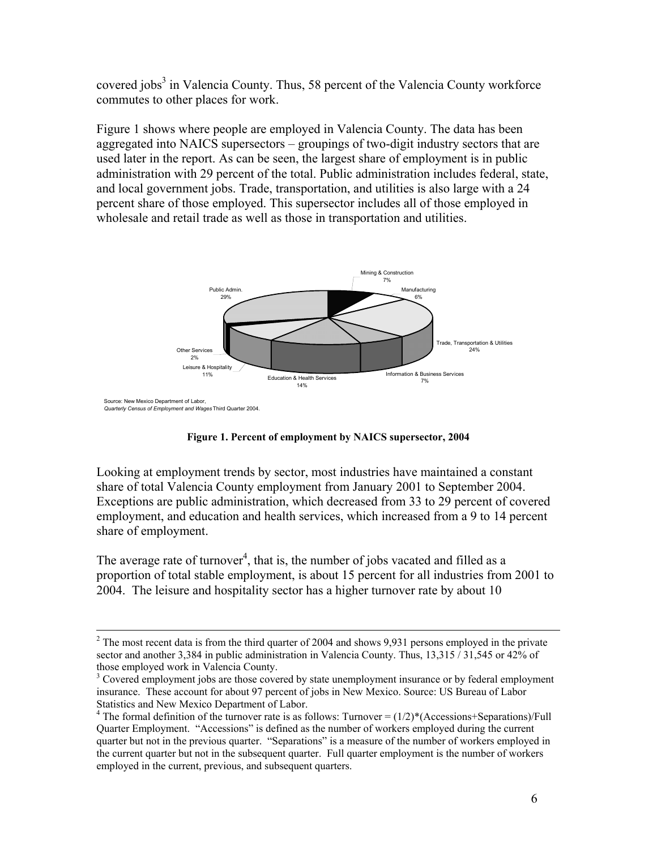covered jobs<sup>3</sup> in Valencia County. Thus, 58 percent of the Valencia County workforce commutes to other places for work.

Figure 1 shows where people are employed in Valencia County. The data has been aggregated into NAICS supersectors – groupings of two-digit industry sectors that are used later in the report. As can be seen, the largest share of employment is in public administration with 29 percent of the total. Public administration includes federal, state, and local government jobs. Trade, transportation, and utilities is also large with a 24 percent share of those employed. This supersector includes all of those employed in wholesale and retail trade as well as those in transportation and utilities.



**Figure 1. Percent of employment by NAICS supersector, 2004** 

Looking at employment trends by sector, most industries have maintained a constant share of total Valencia County employment from January 2001 to September 2004. Exceptions are public administration, which decreased from 33 to 29 percent of covered employment, and education and health services, which increased from a 9 to 14 percent share of employment.

The average rate of turnover<sup>4</sup>, that is, the number of jobs vacated and filled as a proportion of total stable employment, is about 15 percent for all industries from 2001 to 2004. The leisure and hospitality sector has a higher turnover rate by about 10

 $\frac{1}{2}$  $2$  The most recent data is from the third quarter of 2004 and shows 9,931 persons employed in the private sector and another 3,384 in public administration in Valencia County. Thus, 13,315 / 31,545 or 42% of those employed work in Valencia County.

<sup>&</sup>lt;sup>3</sup> Covered employment jobs are those covered by state unemployment insurance or by federal employment insurance. These account for about 97 percent of jobs in New Mexico. Source: US Bureau of Labor Statistics and New Mexico Department of Labor.

<sup>&</sup>lt;sup>4</sup> The formal definition of the turnover rate is as follows: Turnover =  $(1/2)$ <sup>\*</sup>(Accessions+Separations)/Full Quarter Employment. "Accessions" is defined as the number of workers employed during the current quarter but not in the previous quarter. "Separations" is a measure of the number of workers employed in the current quarter but not in the subsequent quarter. Full quarter employment is the number of workers employed in the current, previous, and subsequent quarters.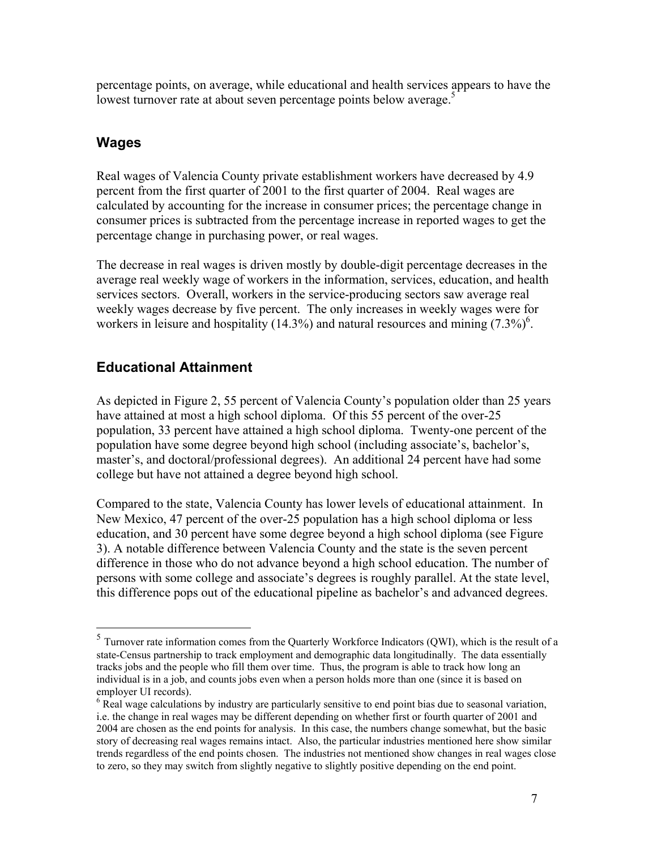percentage points, on average, while educational and health services appears to have the lowest turnover rate at about seven percentage points below average.<sup>5</sup>

### **Wages**

1

Real wages of Valencia County private establishment workers have decreased by 4.9 percent from the first quarter of 2001 to the first quarter of 2004. Real wages are calculated by accounting for the increase in consumer prices; the percentage change in consumer prices is subtracted from the percentage increase in reported wages to get the percentage change in purchasing power, or real wages.

The decrease in real wages is driven mostly by double-digit percentage decreases in the average real weekly wage of workers in the information, services, education, and health services sectors. Overall, workers in the service-producing sectors saw average real weekly wages decrease by five percent. The only increases in weekly wages were for workers in leisure and hospitality (14.3%) and natural resources and mining  $(7.3\%)^6$ .

## **Educational Attainment**

As depicted in Figure 2, 55 percent of Valencia County's population older than 25 years have attained at most a high school diploma. Of this 55 percent of the over-25 population, 33 percent have attained a high school diploma. Twenty-one percent of the population have some degree beyond high school (including associate's, bachelor's, master's, and doctoral/professional degrees). An additional 24 percent have had some college but have not attained a degree beyond high school.

Compared to the state, Valencia County has lower levels of educational attainment. In New Mexico, 47 percent of the over-25 population has a high school diploma or less education, and 30 percent have some degree beyond a high school diploma (see Figure 3). A notable difference between Valencia County and the state is the seven percent difference in those who do not advance beyond a high school education. The number of persons with some college and associate's degrees is roughly parallel. At the state level, this difference pops out of the educational pipeline as bachelor's and advanced degrees.

 $<sup>5</sup>$  Turnover rate information comes from the Quarterly Workforce Indicators (QWI), which is the result of a</sup> state-Census partnership to track employment and demographic data longitudinally. The data essentially tracks jobs and the people who fill them over time. Thus, the program is able to track how long an individual is in a job, and counts jobs even when a person holds more than one (since it is based on employer UI records).

 $6$  Real wage calculations by industry are particularly sensitive to end point bias due to seasonal variation, i.e. the change in real wages may be different depending on whether first or fourth quarter of 2001 and 2004 are chosen as the end points for analysis. In this case, the numbers change somewhat, but the basic story of decreasing real wages remains intact. Also, the particular industries mentioned here show similar trends regardless of the end points chosen. The industries not mentioned show changes in real wages close to zero, so they may switch from slightly negative to slightly positive depending on the end point.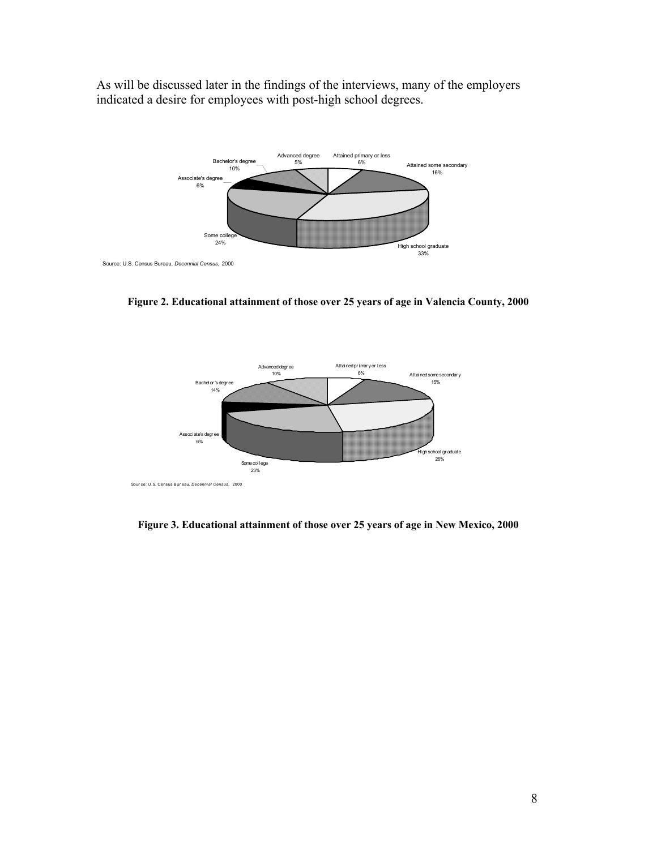As will be discussed later in the findings of the interviews, many of the employers indicated a desire for employees with post-high school degrees.



**Figure 2. Educational attainment of those over 25 years of age in Valencia County, 2000** 



**Figure 3. Educational attainment of those over 25 years of age in New Mexico, 2000**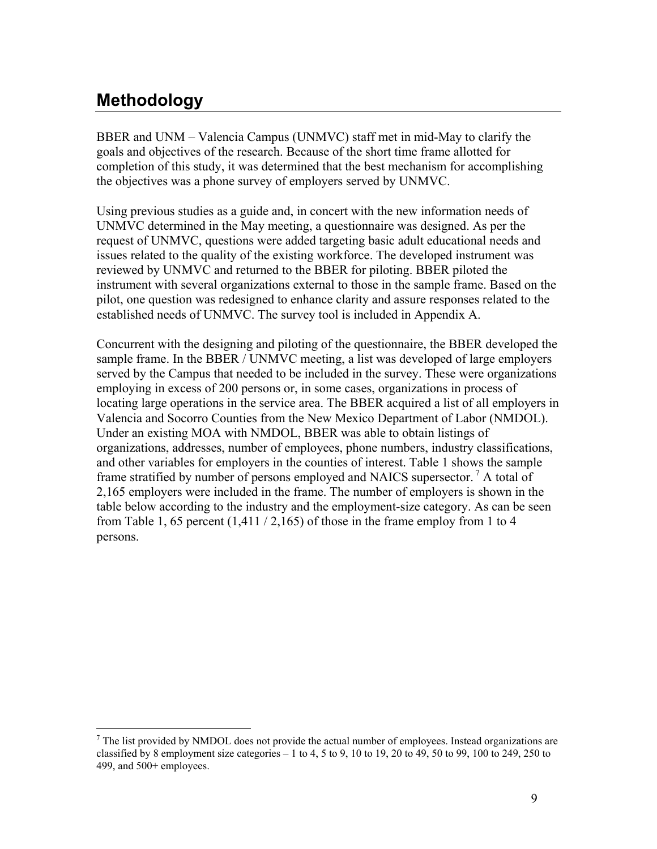## **Methodology**

BBER and UNM – Valencia Campus (UNMVC) staff met in mid-May to clarify the goals and objectives of the research. Because of the short time frame allotted for completion of this study, it was determined that the best mechanism for accomplishing the objectives was a phone survey of employers served by UNMVC.

Using previous studies as a guide and, in concert with the new information needs of UNMVC determined in the May meeting, a questionnaire was designed. As per the request of UNMVC, questions were added targeting basic adult educational needs and issues related to the quality of the existing workforce. The developed instrument was reviewed by UNMVC and returned to the BBER for piloting. BBER piloted the instrument with several organizations external to those in the sample frame. Based on the pilot, one question was redesigned to enhance clarity and assure responses related to the established needs of UNMVC. The survey tool is included in Appendix A.

Concurrent with the designing and piloting of the questionnaire, the BBER developed the sample frame. In the BBER / UNMVC meeting, a list was developed of large employers served by the Campus that needed to be included in the survey. These were organizations employing in excess of 200 persons or, in some cases, organizations in process of locating large operations in the service area. The BBER acquired a list of all employers in Valencia and Socorro Counties from the New Mexico Department of Labor (NMDOL). Under an existing MOA with NMDOL, BBER was able to obtain listings of organizations, addresses, number of employees, phone numbers, industry classifications, and other variables for employers in the counties of interest. Table 1 shows the sample frame stratified by number of persons employed and NAICS supersector.<sup>7</sup> A total of 2,165 employers were included in the frame. The number of employers is shown in the table below according to the industry and the employment-size category. As can be seen from Table 1, 65 percent  $(1,411/2,165)$  of those in the frame employ from 1 to 4 persons.

 $\overline{a}$  $<sup>7</sup>$  The list provided by NMDOL does not provide the actual number of employees. Instead organizations are</sup> classified by 8 employment size categories  $-1$  to 4, 5 to 9, 10 to 19, 20 to 49, 50 to 99, 100 to 249, 250 to 499, and 500+ employees.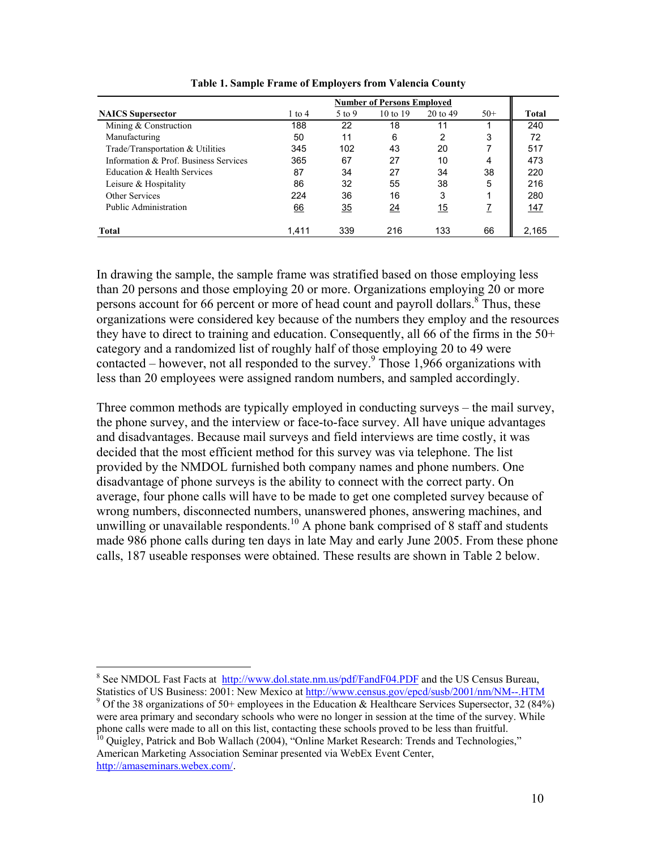|                                       | <b>Number of Persons Employed</b> |        |                     |                     |       |       |  |
|---------------------------------------|-----------------------------------|--------|---------------------|---------------------|-------|-------|--|
| <b>NAICS</b> Supersector              | 1 to 4                            | 5 to 9 | $10 \text{ to } 19$ | $20 \text{ to } 49$ | $50+$ | Total |  |
| Mining & Construction                 | 188                               | 22     | 18                  | 11                  |       | 240   |  |
| Manufacturing                         | 50                                | 11     | 6                   | 2                   | 3     | 72    |  |
| Trade/Transportation & Utilities      | 345                               | 102    | 43                  | 20                  |       | 517   |  |
| Information & Prof. Business Services | 365                               | 67     | 27                  | 10                  | 4     | 473   |  |
| Education & Health Services           | 87                                | 34     | 27                  | 34                  | 38    | 220   |  |
| Leisure & Hospitality                 | 86                                | 32     | 55                  | 38                  | 5     | 216   |  |
| Other Services                        | 224                               | 36     | 16                  | 3                   |       | 280   |  |
| Public Administration                 | 66                                | 35     | $\frac{24}{1}$      | <u> 15</u>          |       | 147   |  |
| Total                                 | 1.411                             | 339    | 216                 | 133                 | 66    | 2.165 |  |

**Table 1. Sample Frame of Employers from Valencia County** 

In drawing the sample, the sample frame was stratified based on those employing less than 20 persons and those employing 20 or more. Organizations employing 20 or more persons account for 66 percent or more of head count and payroll dollars.<sup>8</sup> Thus, these organizations were considered key because of the numbers they employ and the resources they have to direct to training and education. Consequently, all 66 of the firms in the 50+ category and a randomized list of roughly half of those employing 20 to 49 were contacted – however, not all responded to the survey.<sup>9</sup> Those 1,966 organizations with less than 20 employees were assigned random numbers, and sampled accordingly.

Three common methods are typically employed in conducting surveys – the mail survey, the phone survey, and the interview or face-to-face survey. All have unique advantages and disadvantages. Because mail surveys and field interviews are time costly, it was decided that the most efficient method for this survey was via telephone. The list provided by the NMDOL furnished both company names and phone numbers. One disadvantage of phone surveys is the ability to connect with the correct party. On average, four phone calls will have to be made to get one completed survey because of wrong numbers, disconnected numbers, unanswered phones, answering machines, and unwilling or unavailable respondents.<sup>10</sup> A phone bank comprised of 8 staff and students made 986 phone calls during ten days in late May and early June 2005. From these phone calls, 187 useable responses were obtained. These results are shown in Table 2 below.

<sup>10</sup> Quigley, Patrick and Bob Wallach (2004), "Online Market Research: Trends and Technologies," American Marketing Association Seminar presented via WebEx Event Center, http://amaseminars.webex.com/.

 $\overline{a}$ 

<sup>&</sup>lt;sup>8</sup> See NMDOL Fast Facts at http://www.dol.state.nm.us/pdf/FandF04.PDF and the US Census Bureau, Statistics of US Business: 2001: New Mexico at http://www.census.gov/epcd/susb/2001/nm/NM--.HTM

<sup>&</sup>lt;sup>9</sup> Of the 38 organizations of 50+ employees in the Education & Healthcare Services Supersector, 32 (84%) were area primary and secondary schools who were no longer in session at the time of the survey. While phone calls were made to all on this list, contacting these schools proved to be less than fruitful.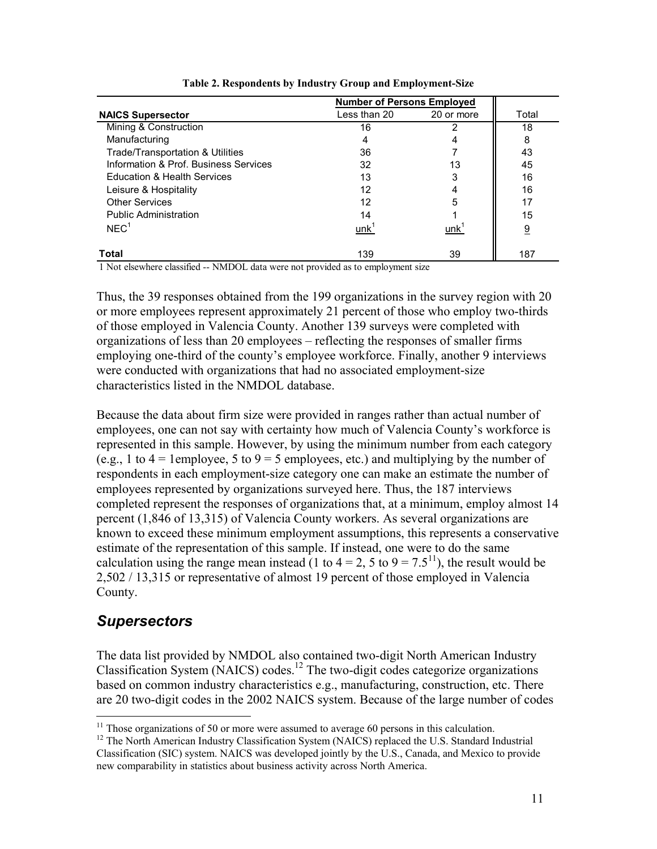|                                       | <b>Number of Persons Employed</b> |            |       |
|---------------------------------------|-----------------------------------|------------|-------|
| <b>NAICS Supersector</b>              | Less than 20                      | 20 or more | Total |
| Mining & Construction                 | 16                                |            | 18    |
| Manufacturing                         | 4                                 |            | 8     |
| Trade/Transportation & Utilities      | 36                                |            | 43    |
| Information & Prof. Business Services | 32                                | 13         | 45    |
| Education & Health Services           | 13                                | 3          | 16    |
| Leisure & Hospitality                 | 12                                |            | 16    |
| <b>Other Services</b>                 | 12                                | 5          | 17    |
| <b>Public Administration</b>          | 14                                |            | 15    |
| NEC <sup>1</sup>                      | unk'                              | unk        | 9     |
| Total                                 | 139                               | 39         | 187   |

**Table 2. Respondents by Industry Group and Employment-Size** 

1 Not elsewhere classified -- NMDOL data were not provided as to employment size

Thus, the 39 responses obtained from the 199 organizations in the survey region with 20 or more employees represent approximately 21 percent of those who employ two-thirds of those employed in Valencia County. Another 139 surveys were completed with organizations of less than 20 employees – reflecting the responses of smaller firms employing one-third of the county's employee workforce. Finally, another 9 interviews were conducted with organizations that had no associated employment-size characteristics listed in the NMDOL database.

Because the data about firm size were provided in ranges rather than actual number of employees, one can not say with certainty how much of Valencia County's workforce is represented in this sample. However, by using the minimum number from each category (e.g., 1 to  $4 = 1$ employee, 5 to  $9 = 5$  employees, etc.) and multiplying by the number of respondents in each employment-size category one can make an estimate the number of employees represented by organizations surveyed here. Thus, the 187 interviews completed represent the responses of organizations that, at a minimum, employ almost 14 percent (1,846 of 13,315) of Valencia County workers. As several organizations are known to exceed these minimum employment assumptions, this represents a conservative estimate of the representation of this sample. If instead, one were to do the same calculation using the range mean instead (1 to  $4 = 2$ , 5 to  $9 = 7.5^{11}$ ), the result would be 2,502 / 13,315 or representative of almost 19 percent of those employed in Valencia County.

## *Supersectors*

 $\overline{a}$ 

The data list provided by NMDOL also contained two-digit North American Industry Classification System (NAICS) codes.12 The two-digit codes categorize organizations based on common industry characteristics e.g., manufacturing, construction, etc. There are 20 two-digit codes in the 2002 NAICS system. Because of the large number of codes

 $11$  Those organizations of 50 or more were assumed to average 60 persons in this calculation.

<sup>&</sup>lt;sup>12</sup> The North American Industry Classification System (NAICS) replaced the U.S. Standard Industrial Classification (SIC) system. NAICS was developed jointly by the U.S., Canada, and Mexico to provide new comparability in statistics about business activity across North America.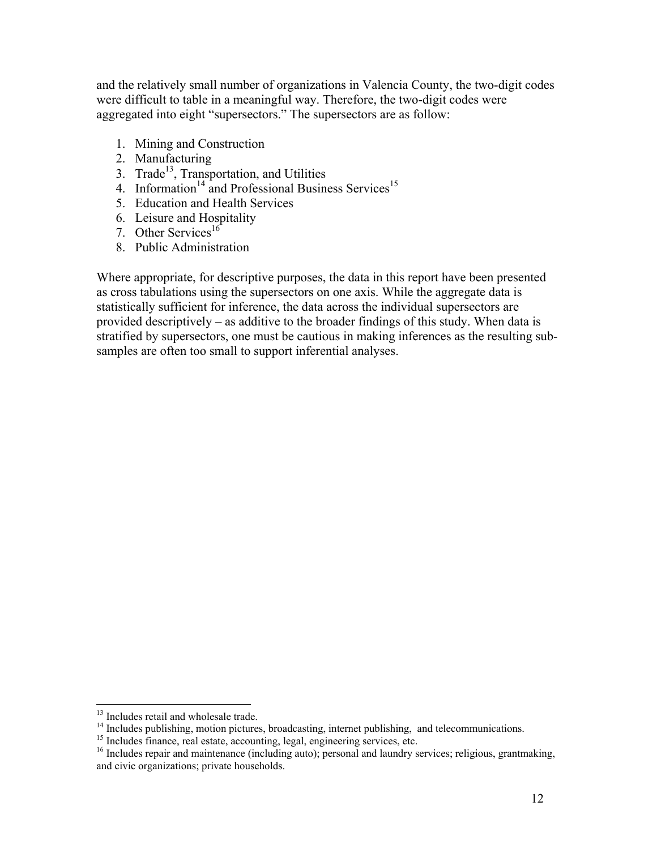and the relatively small number of organizations in Valencia County, the two-digit codes were difficult to table in a meaningful way. Therefore, the two-digit codes were aggregated into eight "supersectors." The supersectors are as follow:

- 1. Mining and Construction
- 2. Manufacturing
- 3. Trade $^{13}$ , Transportation, and Utilities
- 4. Information<sup>14</sup> and Professional Business Services<sup>15</sup>
- 5. Education and Health Services
- 6. Leisure and Hospitality
- 7. Other Services<sup>16</sup>
- 8. Public Administration

Where appropriate, for descriptive purposes, the data in this report have been presented as cross tabulations using the supersectors on one axis. While the aggregate data is statistically sufficient for inference, the data across the individual supersectors are provided descriptively – as additive to the broader findings of this study. When data is stratified by supersectors, one must be cautious in making inferences as the resulting subsamples are often too small to support inferential analyses.

 $\overline{a}$ 

<sup>&</sup>lt;sup>13</sup> Includes retail and wholesale trade.

<sup>&</sup>lt;sup>14</sup> Includes publishing, motion pictures, broadcasting, internet publishing, and telecommunications.

<sup>&</sup>lt;sup>15</sup> Includes finance, real estate, accounting, legal, engineering services, etc.  $\frac{16}{16}$  Includes repair and maintenance (including auto); personal and laundry services; religious, grantmaking, and civic organizations; private households.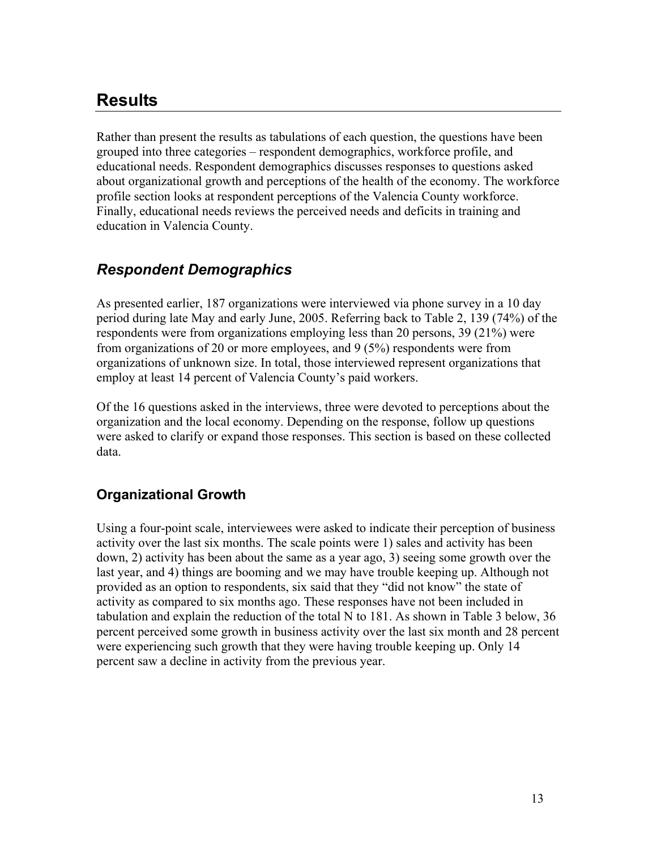## **Results**

Rather than present the results as tabulations of each question, the questions have been grouped into three categories – respondent demographics, workforce profile, and educational needs. Respondent demographics discusses responses to questions asked about organizational growth and perceptions of the health of the economy. The workforce profile section looks at respondent perceptions of the Valencia County workforce. Finally, educational needs reviews the perceived needs and deficits in training and education in Valencia County.

## *Respondent Demographics*

As presented earlier, 187 organizations were interviewed via phone survey in a 10 day period during late May and early June, 2005. Referring back to Table 2, 139 (74%) of the respondents were from organizations employing less than 20 persons, 39 (21%) were from organizations of 20 or more employees, and 9 (5%) respondents were from organizations of unknown size. In total, those interviewed represent organizations that employ at least 14 percent of Valencia County's paid workers.

Of the 16 questions asked in the interviews, three were devoted to perceptions about the organization and the local economy. Depending on the response, follow up questions were asked to clarify or expand those responses. This section is based on these collected data.

## **Organizational Growth**

Using a four-point scale, interviewees were asked to indicate their perception of business activity over the last six months. The scale points were 1) sales and activity has been down, 2) activity has been about the same as a year ago, 3) seeing some growth over the last year, and 4) things are booming and we may have trouble keeping up. Although not provided as an option to respondents, six said that they "did not know" the state of activity as compared to six months ago. These responses have not been included in tabulation and explain the reduction of the total N to 181. As shown in Table 3 below, 36 percent perceived some growth in business activity over the last six month and 28 percent were experiencing such growth that they were having trouble keeping up. Only 14 percent saw a decline in activity from the previous year.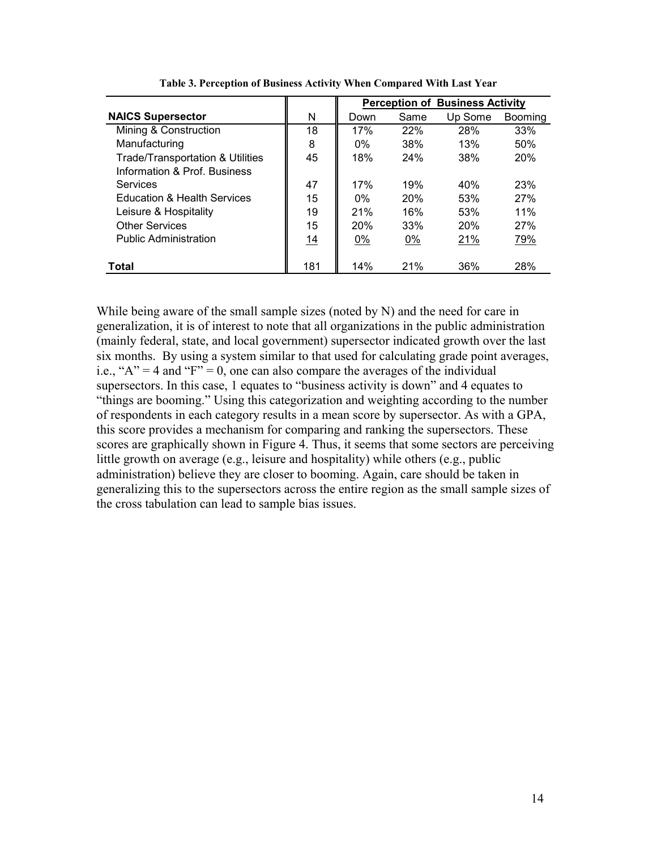|                                             |     | <b>Perception of Business Activity</b> |      |         |         |  |  |  |
|---------------------------------------------|-----|----------------------------------------|------|---------|---------|--|--|--|
| <b>NAICS Supersector</b>                    | N   | Down                                   | Same | Up Some | Booming |  |  |  |
| Mining & Construction                       | 18  | 17%                                    | 22%  | 28%     | 33%     |  |  |  |
| Manufacturing                               | 8   | $0\%$                                  | 38%  | 13%     | 50%     |  |  |  |
| <b>Trade/Transportation &amp; Utilities</b> | 45  | 18%                                    | 24%  | 38%     | 20%     |  |  |  |
| Information & Prof. Business                |     |                                        |      |         |         |  |  |  |
| Services                                    | 47  | 17%                                    | 19%  | 40%     | 23%     |  |  |  |
| <b>Education &amp; Health Services</b>      | 15  | $0\%$                                  | 20%  | 53%     | 27%     |  |  |  |
| Leisure & Hospitality                       | 19  | 21%                                    | 16%  | 53%     | 11%     |  |  |  |
| <b>Other Services</b>                       | 15  | 20%                                    | 33%  | 20%     | 27%     |  |  |  |
| <b>Public Administration</b>                | 14  | $0\%$                                  | 0%   | 21%     | 79%     |  |  |  |
| Total                                       | 181 | 14%                                    | 21%  | 36%     | 28%     |  |  |  |

**Table 3. Perception of Business Activity When Compared With Last Year** 

While being aware of the small sample sizes (noted by N) and the need for care in generalization, it is of interest to note that all organizations in the public administration (mainly federal, state, and local government) supersector indicated growth over the last six months. By using a system similar to that used for calculating grade point averages, i.e., " $A$ " = 4 and " $F$ " = 0, one can also compare the averages of the individual supersectors. In this case, 1 equates to "business activity is down" and 4 equates to "things are booming." Using this categorization and weighting according to the number of respondents in each category results in a mean score by supersector. As with a GPA, this score provides a mechanism for comparing and ranking the supersectors. These scores are graphically shown in Figure 4. Thus, it seems that some sectors are perceiving little growth on average (e.g., leisure and hospitality) while others (e.g., public administration) believe they are closer to booming. Again, care should be taken in generalizing this to the supersectors across the entire region as the small sample sizes of the cross tabulation can lead to sample bias issues.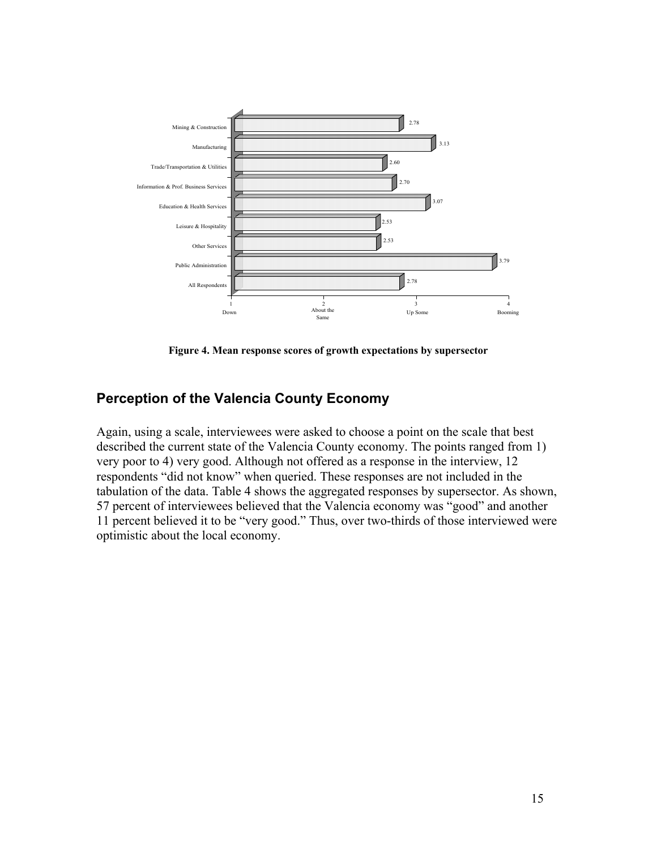

**Figure 4. Mean response scores of growth expectations by supersector** 

#### **Perception of the Valencia County Economy**

Again, using a scale, interviewees were asked to choose a point on the scale that best described the current state of the Valencia County economy. The points ranged from 1) very poor to 4) very good. Although not offered as a response in the interview, 12 respondents "did not know" when queried. These responses are not included in the tabulation of the data. Table 4 shows the aggregated responses by supersector. As shown, 57 percent of interviewees believed that the Valencia economy was "good" and another 11 percent believed it to be "very good." Thus, over two-thirds of those interviewed were optimistic about the local economy.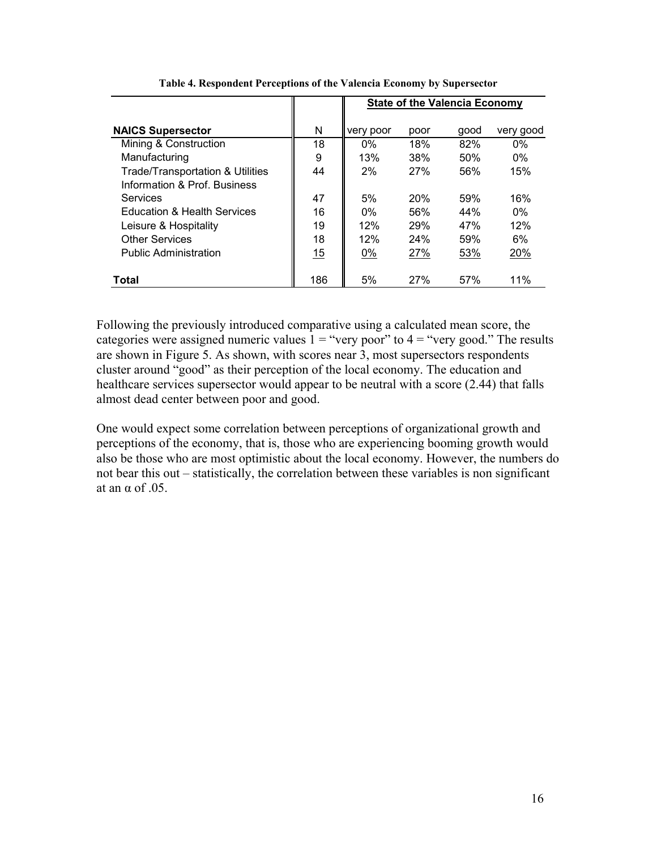|                                             |     | <b>State of the Valencia Economy</b> |            |      |           |  |  |
|---------------------------------------------|-----|--------------------------------------|------------|------|-----------|--|--|
| <b>NAICS Supersector</b>                    | N   | very poor                            | poor       | qood | very good |  |  |
| Mining & Construction                       | 18  | $0\%$                                | 18%        | 82%  | $0\%$     |  |  |
| Manufacturing                               | 9   | 13%                                  | 38%        | 50%  | $0\%$     |  |  |
| <b>Trade/Transportation &amp; Utilities</b> | 44  | 2%                                   | 27%        | 56%  | 15%       |  |  |
| Information & Prof. Business                |     |                                      |            |      |           |  |  |
| Services                                    | 47  | 5%                                   | 20%        | 59%  | 16%       |  |  |
| <b>Education &amp; Health Services</b>      | 16  | $0\%$                                | 56%        | 44%  | $0\%$     |  |  |
| Leisure & Hospitality                       | 19  | 12%                                  | 29%        | 47%  | 12%       |  |  |
| <b>Other Services</b>                       | 18  | 12%                                  | 24%        | 59%  | 6%        |  |  |
| <b>Public Administration</b>                | 15  | 0%                                   | 27%        | 53%  | 20%       |  |  |
| Total                                       | 186 | 5%                                   | <b>27%</b> | 57%  | 11%       |  |  |

**Table 4. Respondent Perceptions of the Valencia Economy by Supersector** 

Following the previously introduced comparative using a calculated mean score, the categories were assigned numeric values  $1 =$  "very poor" to  $4 =$  "very good." The results are shown in Figure 5. As shown, with scores near 3, most supersectors respondents cluster around "good" as their perception of the local economy. The education and healthcare services supersector would appear to be neutral with a score (2.44) that falls almost dead center between poor and good.

One would expect some correlation between perceptions of organizational growth and perceptions of the economy, that is, those who are experiencing booming growth would also be those who are most optimistic about the local economy. However, the numbers do not bear this out – statistically, the correlation between these variables is non significant at an  $\alpha$  of .05.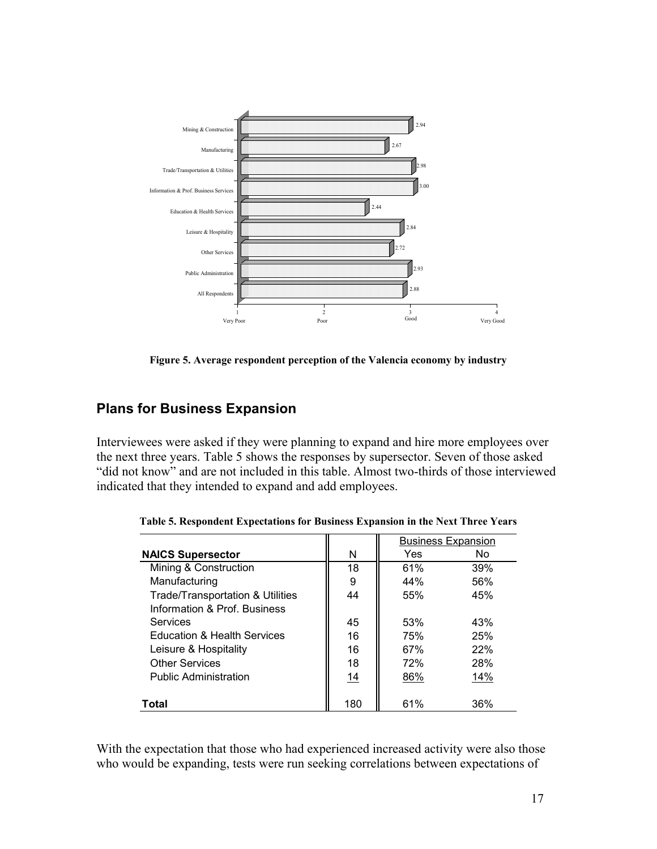

**Figure 5. Average respondent perception of the Valencia economy by industry** 

## **Plans for Business Expansion**

Interviewees were asked if they were planning to expand and hire more employees over the next three years. Table 5 shows the responses by supersector. Seven of those asked "did not know" and are not included in this table. Almost two-thirds of those interviewed indicated that they intended to expand and add employees.

|                                             |           | <b>Business Expansion</b> |     |  |
|---------------------------------------------|-----------|---------------------------|-----|--|
| <b>NAICS Supersector</b>                    | N         | Yes                       | No. |  |
| Mining & Construction                       | 18        | 61%                       | 39% |  |
| Manufacturing                               | 9         | 44%                       | 56% |  |
| <b>Trade/Transportation &amp; Utilities</b> | 44        | 55%                       | 45% |  |
| Information & Prof. Business                |           |                           |     |  |
| Services                                    | 45        | 53%                       | 43% |  |
| <b>Education &amp; Health Services</b>      | 16        | 75%                       | 25% |  |
| Leisure & Hospitality                       | 16        | 67%                       | 22% |  |
| <b>Other Services</b>                       | 18        | 72%                       | 28% |  |
| <b>Public Administration</b>                | <u>14</u> | 86%                       | 14% |  |
|                                             |           |                           |     |  |
| Total                                       | 180       | 61%                       | 36% |  |

**Table 5. Respondent Expectations for Business Expansion in the Next Three Years** 

With the expectation that those who had experienced increased activity were also those who would be expanding, tests were run seeking correlations between expectations of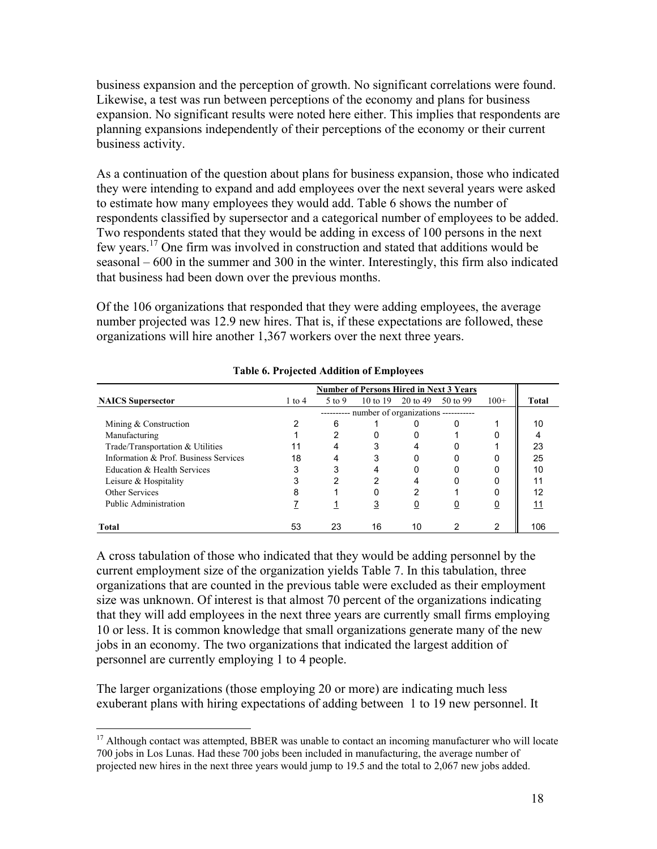business expansion and the perception of growth. No significant correlations were found. Likewise, a test was run between perceptions of the economy and plans for business expansion. No significant results were noted here either. This implies that respondents are planning expansions independently of their perceptions of the economy or their current business activity.

As a continuation of the question about plans for business expansion, those who indicated they were intending to expand and add employees over the next several years were asked to estimate how many employees they would add. Table 6 shows the number of respondents classified by supersector and a categorical number of employees to be added. Two respondents stated that they would be adding in excess of 100 persons in the next few years.17 One firm was involved in construction and stated that additions would be seasonal – 600 in the summer and 300 in the winter. Interestingly, this firm also indicated that business had been down over the previous months.

Of the 106 organizations that responded that they were adding employees, the average number projected was 12.9 new hires. That is, if these expectations are followed, these organizations will hire another 1,367 workers over the next three years.

| <b>Number of Persons Hired in Next 3 Years</b> |                                               |        |                     |          |          |                |       |  |
|------------------------------------------------|-----------------------------------------------|--------|---------------------|----------|----------|----------------|-------|--|
| <b>NAICS</b> Supersector                       | $1$ to $4$                                    | 5 to 9 | $10 \text{ to } 19$ | 20 to 49 | 50 to 99 | $100+$         | Total |  |
|                                                | --------- number of organizations ----------- |        |                     |          |          |                |       |  |
| Mining & Construction                          |                                               | 6      |                     |          |          |                | 10    |  |
| Manufacturing                                  |                                               | 2      |                     |          |          |                |       |  |
| Trade/Transportation & Utilities               | 11                                            | 4      | 3                   | 4        |          |                | 23    |  |
| Information & Prof. Business Services          | 18                                            | 4      | 3                   | 0        |          |                | 25    |  |
| Education & Health Services                    | 3                                             | 3      | 4                   | 0        |          |                | 10    |  |
| Leisure & Hospitality                          | 3                                             | 2      | 2                   | 4        |          |                | 11    |  |
| Other Services                                 | 8                                             |        |                     | 2        |          |                | 12    |  |
| Public Administration                          |                                               |        | <u>3</u>            | <u>0</u> | <u>0</u> | $\overline{0}$ | 11    |  |
| Total                                          | 53                                            | 23     | 16                  | 10       |          | 2              | 106   |  |

**Table 6. Projected Addition of Employees** 

A cross tabulation of those who indicated that they would be adding personnel by the current employment size of the organization yields Table 7. In this tabulation, three organizations that are counted in the previous table were excluded as their employment size was unknown. Of interest is that almost 70 percent of the organizations indicating that they will add employees in the next three years are currently small firms employing 10 or less. It is common knowledge that small organizations generate many of the new jobs in an economy. The two organizations that indicated the largest addition of personnel are currently employing 1 to 4 people.

The larger organizations (those employing 20 or more) are indicating much less exuberant plans with hiring expectations of adding between 1 to 19 new personnel. It

 $\overline{a}$ 

<sup>&</sup>lt;sup>17</sup> Although contact was attempted, BBER was unable to contact an incoming manufacturer who will locate 700 jobs in Los Lunas. Had these 700 jobs been included in manufacturing, the average number of projected new hires in the next three years would jump to 19.5 and the total to 2,067 new jobs added.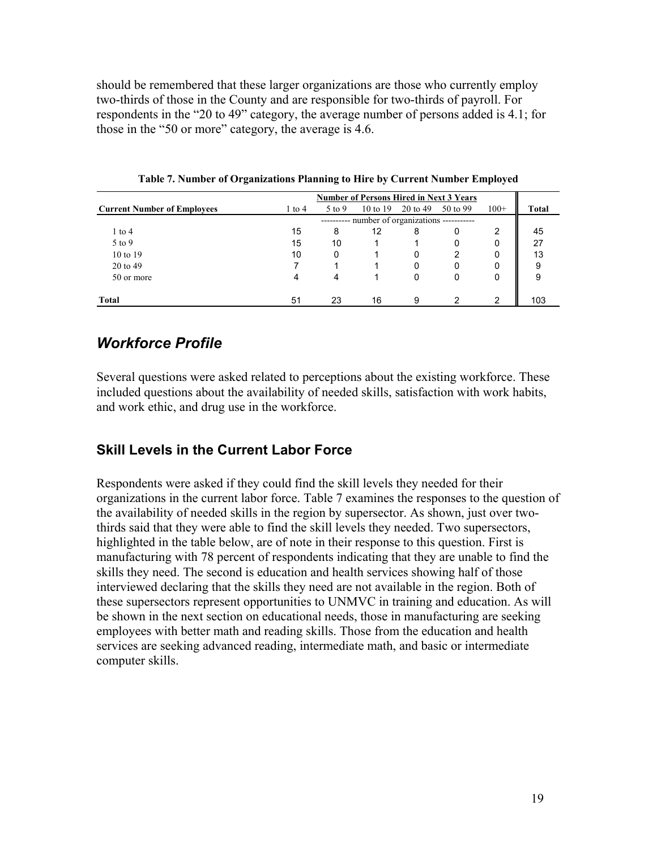should be remembered that these larger organizations are those who currently employ two-thirds of those in the County and are responsible for two-thirds of payroll. For respondents in the "20 to 49" category, the average number of persons added is 4.1; for those in the "50 or more" category, the average is 4.6.

|                                    | <b>Number of Persons Hired in Next 3 Years</b> |        |          |          |          |        |              |  |
|------------------------------------|------------------------------------------------|--------|----------|----------|----------|--------|--------------|--|
| <b>Current Number of Employees</b> | $1$ to $4$                                     | 5 to 9 | 10 to 19 | 20 to 49 | 50 to 99 | $100+$ | <b>Total</b> |  |
|                                    | ---------- number of organizations ----------- |        |          |          |          |        |              |  |
| $1$ to $4$                         | 15                                             | 8      | 12       | 8        | O        | 2      | 45           |  |
| 5 to 9                             | 15                                             | 10     |          |          | 0        | 0      | 27           |  |
| 10 to 19                           | 10                                             | 0      |          | 0        |          | 0      | 13           |  |
| 20 to 49                           |                                                |        |          | 0        | 0        |        | 9            |  |
| 50 or more                         | 4                                              | 4      |          | 0        | 0        | 0      | 9            |  |
| <b>Total</b>                       | 51                                             | 23     | 16       | 9        | າ        | 2      | 103          |  |

**Table 7. Number of Organizations Planning to Hire by Current Number Employed** 

### *Workforce Profile*

Several questions were asked related to perceptions about the existing workforce. These included questions about the availability of needed skills, satisfaction with work habits, and work ethic, and drug use in the workforce.

### **Skill Levels in the Current Labor Force**

Respondents were asked if they could find the skill levels they needed for their organizations in the current labor force. Table 7 examines the responses to the question of the availability of needed skills in the region by supersector. As shown, just over twothirds said that they were able to find the skill levels they needed. Two supersectors, highlighted in the table below, are of note in their response to this question. First is manufacturing with 78 percent of respondents indicating that they are unable to find the skills they need. The second is education and health services showing half of those interviewed declaring that the skills they need are not available in the region. Both of these supersectors represent opportunities to UNMVC in training and education. As will be shown in the next section on educational needs, those in manufacturing are seeking employees with better math and reading skills. Those from the education and health services are seeking advanced reading, intermediate math, and basic or intermediate computer skills.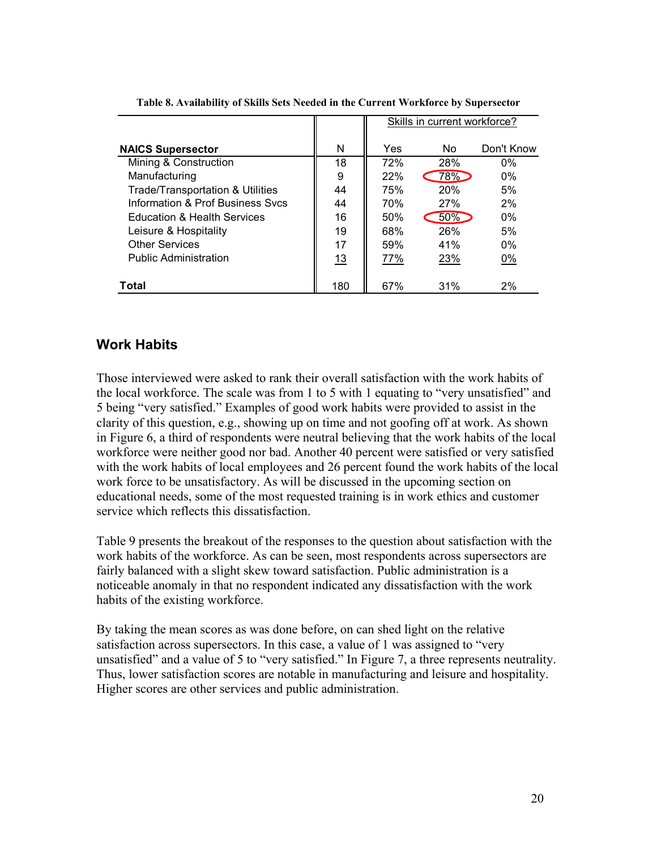|                                             |     | Skills in current workforce? |     |            |  |  |  |
|---------------------------------------------|-----|------------------------------|-----|------------|--|--|--|
| <b>NAICS Supersector</b>                    | N   | Yes                          | No. | Don't Know |  |  |  |
| Mining & Construction                       | 18  | 72%                          | 28% | $0\%$      |  |  |  |
| Manufacturing                               | 9   | 22%                          | 78% | $0\%$      |  |  |  |
| <b>Trade/Transportation &amp; Utilities</b> | 44  | 75%                          | 20% | 5%         |  |  |  |
| Information & Prof Business Sycs            | 44  | 70%                          | 27% | 2%         |  |  |  |
| <b>Education &amp; Health Services</b>      | 16  | 50%                          | 50% | $0\%$      |  |  |  |
| Leisure & Hospitality                       | 19  | 68%                          | 26% | 5%         |  |  |  |
| <b>Other Services</b>                       | 17  | 59%                          | 41% | $0\%$      |  |  |  |
| <b>Public Administration</b>                | 13  | 77%                          | 23% | 0%         |  |  |  |
| Total                                       | 180 | 67%                          | 31% | 2%         |  |  |  |

**Table 8. Availability of Skills Sets Needed in the Current Workforce by Supersector** 

#### **Work Habits**

Those interviewed were asked to rank their overall satisfaction with the work habits of the local workforce. The scale was from 1 to 5 with 1 equating to "very unsatisfied" and 5 being "very satisfied." Examples of good work habits were provided to assist in the clarity of this question, e.g., showing up on time and not goofing off at work. As shown in Figure 6, a third of respondents were neutral believing that the work habits of the local workforce were neither good nor bad. Another 40 percent were satisfied or very satisfied with the work habits of local employees and 26 percent found the work habits of the local work force to be unsatisfactory. As will be discussed in the upcoming section on educational needs, some of the most requested training is in work ethics and customer service which reflects this dissatisfaction.

Table 9 presents the breakout of the responses to the question about satisfaction with the work habits of the workforce. As can be seen, most respondents across supersectors are fairly balanced with a slight skew toward satisfaction. Public administration is a noticeable anomaly in that no respondent indicated any dissatisfaction with the work habits of the existing workforce.

By taking the mean scores as was done before, on can shed light on the relative satisfaction across supersectors. In this case, a value of 1 was assigned to "very unsatisfied" and a value of 5 to "very satisfied." In Figure 7, a three represents neutrality. Thus, lower satisfaction scores are notable in manufacturing and leisure and hospitality. Higher scores are other services and public administration.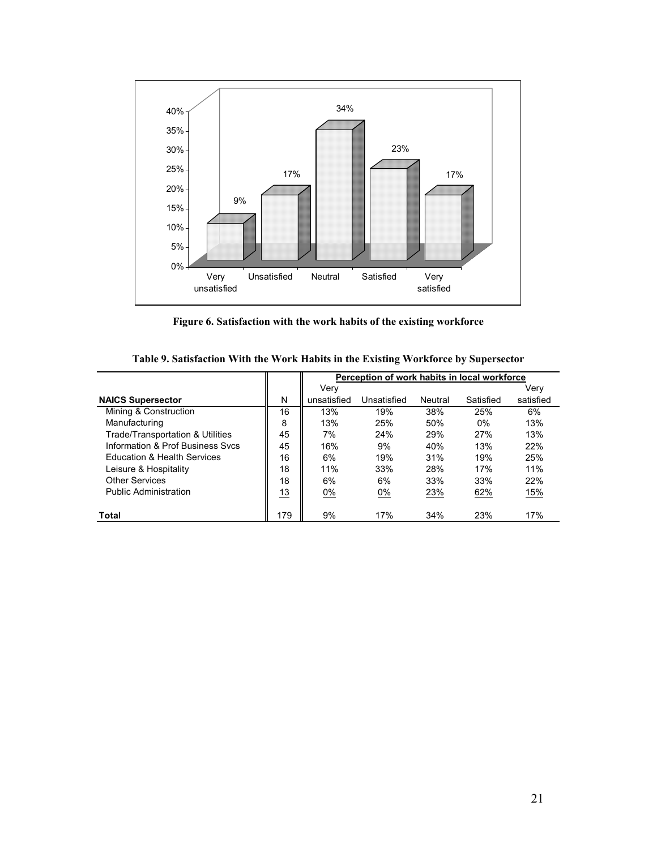

**Figure 6. Satisfaction with the work habits of the existing workforce** 

|                                        |     |             | Perception of work habits in local workforce |         |           |           |
|----------------------------------------|-----|-------------|----------------------------------------------|---------|-----------|-----------|
|                                        |     | Verv        |                                              |         |           | Verv      |
| <b>NAICS Supersector</b>               | N   | unsatisfied | Unsatisfied                                  | Neutral | Satisfied | satisfied |
| Mining & Construction                  | 16  | 13%         | 19%                                          | 38%     | 25%       | 6%        |
| Manufacturing                          | 8   | 13%         | 25%                                          | 50%     | $0\%$     | 13%       |
| Trade/Transportation & Utilities       | 45  | 7%          | 24%                                          | 29%     | 27%       | 13%       |
| Information & Prof Business Sycs       | 45  | 16%         | 9%                                           | 40%     | 13%       | 22%       |
| <b>Education &amp; Health Services</b> | 16  | 6%          | 19%                                          | 31%     | 19%       | 25%       |
| Leisure & Hospitality                  | 18  | 11%         | 33%                                          | 28%     | 17%       | 11%       |
| Other Services                         | 18  | 6%          | 6%                                           | 33%     | 33%       | 22%       |
| Public Administration                  | 13  | 0%          | 0%                                           | 23%     | 62%       | 15%       |
| Total                                  | 179 | 9%          | 17%                                          | 34%     | 23%       | 17%       |

**Table 9. Satisfaction With the Work Habits in the Existing Workforce by Supersector**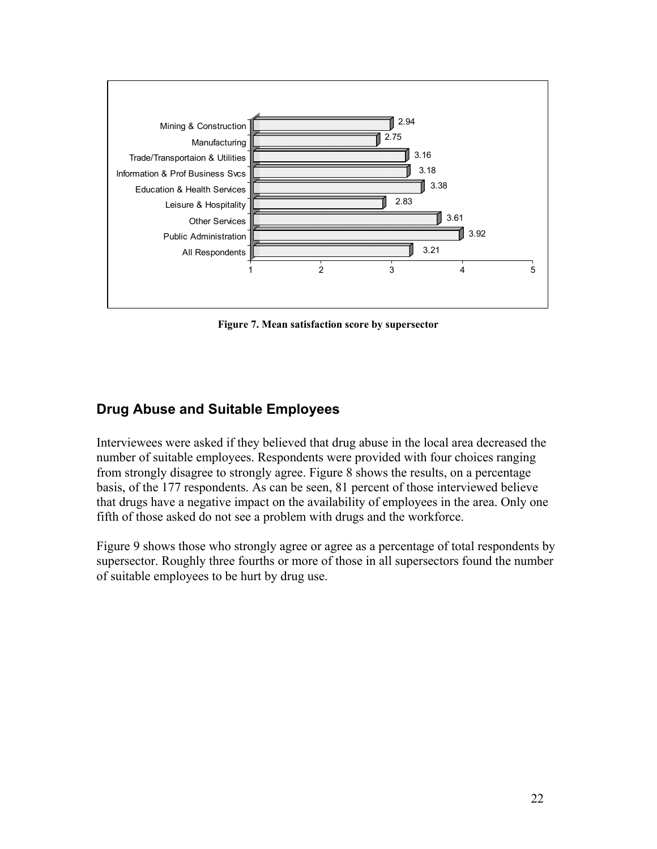

**Figure 7. Mean satisfaction score by supersector** 

### **Drug Abuse and Suitable Employees**

Interviewees were asked if they believed that drug abuse in the local area decreased the number of suitable employees. Respondents were provided with four choices ranging from strongly disagree to strongly agree. Figure 8 shows the results, on a percentage basis, of the 177 respondents. As can be seen, 81 percent of those interviewed believe that drugs have a negative impact on the availability of employees in the area. Only one fifth of those asked do not see a problem with drugs and the workforce.

Figure 9 shows those who strongly agree or agree as a percentage of total respondents by supersector. Roughly three fourths or more of those in all supersectors found the number of suitable employees to be hurt by drug use.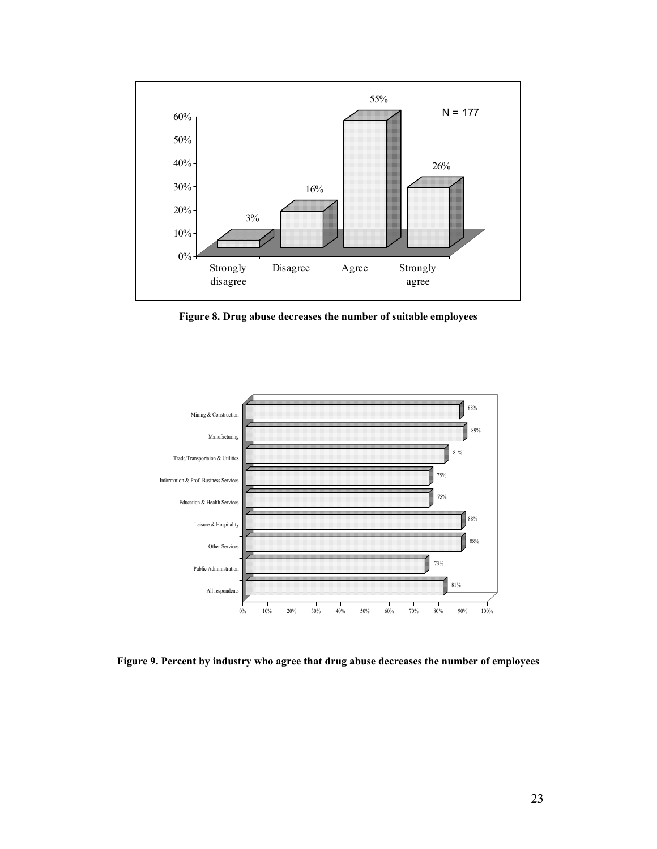

**Figure 8. Drug abuse decreases the number of suitable employees** 



**Figure 9. Percent by industry who agree that drug abuse decreases the number of employees**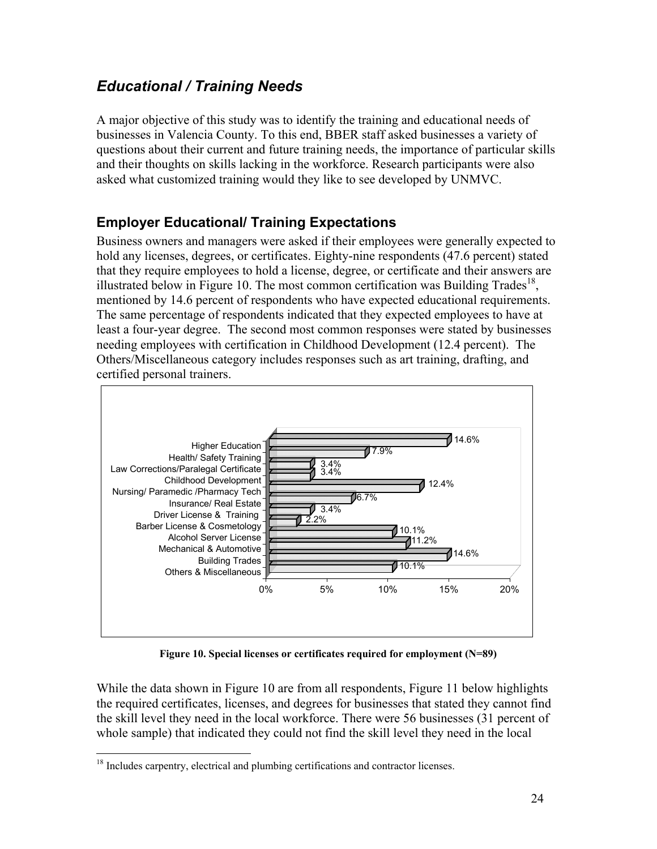## *Educational / Training Needs*

A major objective of this study was to identify the training and educational needs of businesses in Valencia County. To this end, BBER staff asked businesses a variety of questions about their current and future training needs, the importance of particular skills and their thoughts on skills lacking in the workforce. Research participants were also asked what customized training would they like to see developed by UNMVC.

## **Employer Educational/ Training Expectations**

Business owners and managers were asked if their employees were generally expected to hold any licenses, degrees, or certificates. Eighty-nine respondents (47.6 percent) stated that they require employees to hold a license, degree, or certificate and their answers are illustrated below in Figure 10. The most common certification was Building Trades<sup>18</sup>, mentioned by 14.6 percent of respondents who have expected educational requirements. The same percentage of respondents indicated that they expected employees to have at least a four-year degree. The second most common responses were stated by businesses needing employees with certification in Childhood Development (12.4 percent). The Others/Miscellaneous category includes responses such as art training, drafting, and certified personal trainers.



**Figure 10. Special licenses or certificates required for employment (N=89)** 

While the data shown in Figure 10 are from all respondents, Figure 11 below highlights the required certificates, licenses, and degrees for businesses that stated they cannot find the skill level they need in the local workforce. There were 56 businesses (31 percent of whole sample) that indicated they could not find the skill level they need in the local

<sup>&</sup>lt;u>.</u> <sup>18</sup> Includes carpentry, electrical and plumbing certifications and contractor licenses.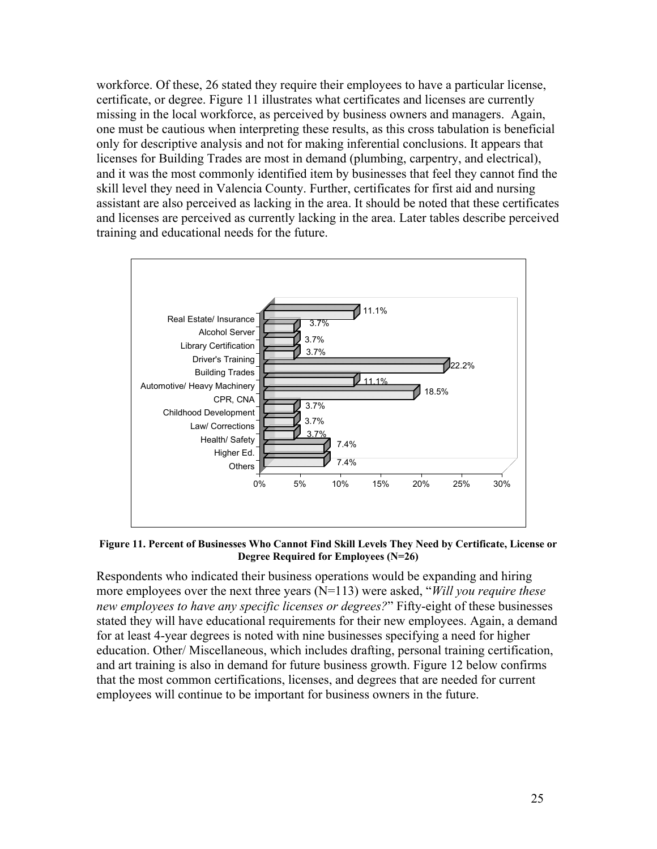workforce. Of these, 26 stated they require their employees to have a particular license, certificate, or degree. Figure 11 illustrates what certificates and licenses are currently missing in the local workforce, as perceived by business owners and managers. Again, one must be cautious when interpreting these results, as this cross tabulation is beneficial only for descriptive analysis and not for making inferential conclusions. It appears that licenses for Building Trades are most in demand (plumbing, carpentry, and electrical), and it was the most commonly identified item by businesses that feel they cannot find the skill level they need in Valencia County. Further, certificates for first aid and nursing assistant are also perceived as lacking in the area. It should be noted that these certificates and licenses are perceived as currently lacking in the area. Later tables describe perceived training and educational needs for the future.



**Figure 11. Percent of Businesses Who Cannot Find Skill Levels They Need by Certificate, License or Degree Required for Employees (N=26)** 

Respondents who indicated their business operations would be expanding and hiring more employees over the next three years (N=113) were asked, "*Will you require these new employees to have any specific licenses or degrees?*" Fifty-eight of these businesses stated they will have educational requirements for their new employees. Again, a demand for at least 4-year degrees is noted with nine businesses specifying a need for higher education. Other/ Miscellaneous, which includes drafting, personal training certification, and art training is also in demand for future business growth. Figure 12 below confirms that the most common certifications, licenses, and degrees that are needed for current employees will continue to be important for business owners in the future.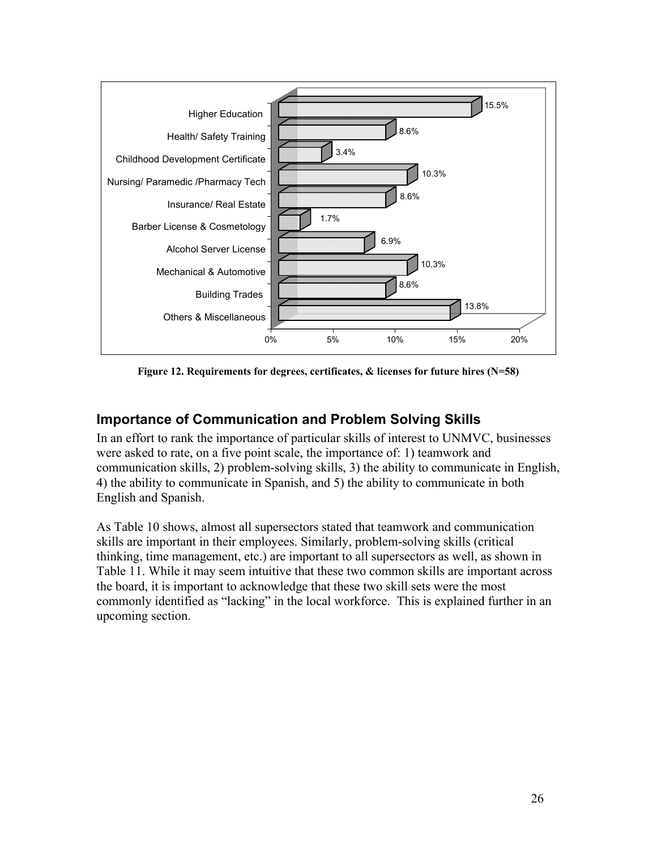

**Figure 12. Requirements for degrees, certificates, & licenses for future hires (N=58)** 

### **Importance of Communication and Problem Solving Skills**

In an effort to rank the importance of particular skills of interest to UNMVC, businesses were asked to rate, on a five point scale, the importance of: 1) teamwork and communication skills, 2) problem-solving skills, 3) the ability to communicate in English, 4) the ability to communicate in Spanish, and 5) the ability to communicate in both English and Spanish.

As Table 10 shows, almost all supersectors stated that teamwork and communication skills are important in their employees. Similarly, problem-solving skills (critical thinking, time management, etc.) are important to all supersectors as well, as shown in Table 11. While it may seem intuitive that these two common skills are important across the board, it is important to acknowledge that these two skill sets were the most commonly identified as "lacking" in the local workforce. This is explained further in an upcoming section.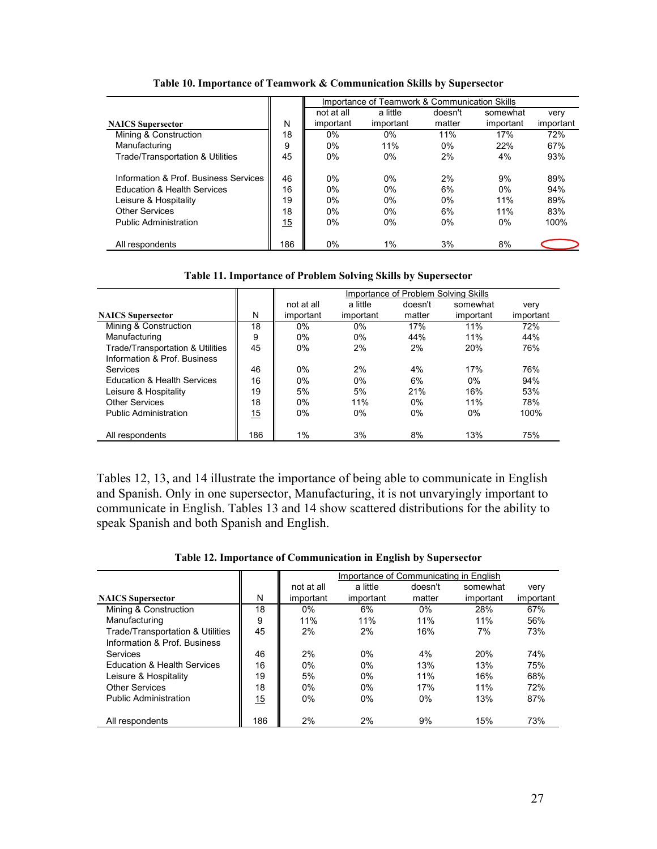|                                       |     | Importance of Teamwork & Communication Skills |           |         |           |           |  |
|---------------------------------------|-----|-----------------------------------------------|-----------|---------|-----------|-----------|--|
|                                       |     | not at all                                    | a little  | doesn't | somewhat  | very      |  |
| <b>NAICS</b> Supersector              | N   | important                                     | important | matter  | important | important |  |
| Mining & Construction                 | 18  | 0%                                            | 0%        | 11%     | 17%       | 72%       |  |
| Manufacturing                         | 9   | $0\%$                                         | 11%       | $0\%$   | 22%       | 67%       |  |
| Trade/Transportation & Utilities      | 45  | 0%                                            | 0%        | 2%      | 4%        | 93%       |  |
| Information & Prof. Business Services | 46  | 0%                                            | 0%        | 2%      | 9%        | 89%       |  |
| Education & Health Services           | 16  | $0\%$                                         | $0\%$     | 6%      | $0\%$     | 94%       |  |
| Leisure & Hospitality                 | 19  | 0%                                            | 0%        | $0\%$   | 11%       | 89%       |  |
| <b>Other Services</b>                 | 18  | $0\%$                                         | $0\%$     | 6%      | 11%       | 83%       |  |
| <b>Public Administration</b>          | 15  | $0\%$                                         | 0%        | $0\%$   | $0\%$     | 100%      |  |
| All respondents                       | 186 | 0%                                            | $1\%$     | 3%      | 8%        |           |  |

**Table 10. Importance of Teamwork & Communication Skills by Supersector** 

|                                  |     | Importance of Problem Solving Skills |           |         |           |           |  |  |
|----------------------------------|-----|--------------------------------------|-----------|---------|-----------|-----------|--|--|
|                                  |     | not at all                           | a little  | doesn't | somewhat  | very      |  |  |
| <b>NAICS</b> Supersector         | N   | important                            | important | matter  | important | important |  |  |
| Mining & Construction            | 18  | 0%                                   | $0\%$     | 17%     | 11%       | 72%       |  |  |
| Manufacturing                    | 9   | $0\%$                                | 0%        | 44%     | 11%       | 44%       |  |  |
| Trade/Transportation & Utilities | 45  | $0\%$                                | 2%        | 2%      | 20%       | 76%       |  |  |
| Information & Prof. Business     |     |                                      |           |         |           |           |  |  |
| Services                         | 46  | $0\%$                                | 2%        | $4\%$   | 17%       | 76%       |  |  |
| Education & Health Services      | 16  | $0\%$                                | $0\%$     | 6%      | $0\%$     | 94%       |  |  |
| Leisure & Hospitality            | 19  | 5%                                   | 5%        | 21%     | 16%       | 53%       |  |  |
| <b>Other Services</b>            | 18  | $0\%$                                | 11%       | $0\%$   | 11%       | 78%       |  |  |
| <b>Public Administration</b>     | 15  | 0%                                   | 0%        | $0\%$   | $0\%$     | 100%      |  |  |
|                                  |     |                                      |           |         |           |           |  |  |
| All respondents                  | 186 | $1\%$                                | 3%        | 8%      | 13%       | 75%       |  |  |

Tables 12, 13, and 14 illustrate the importance of being able to communicate in English and Spanish. Only in one supersector, Manufacturing, it is not unvaryingly important to communicate in English. Tables 13 and 14 show scattered distributions for the ability to speak Spanish and both Spanish and English.

|  |  |  | Table 12. Importance of Communication in English by Supersector |
|--|--|--|-----------------------------------------------------------------|
|--|--|--|-----------------------------------------------------------------|

|                                        |     | Importance of Communicating in English |           |         |           |           |  |  |
|----------------------------------------|-----|----------------------------------------|-----------|---------|-----------|-----------|--|--|
|                                        |     |                                        | a little  | doesn't | somewhat  | very      |  |  |
| <b>NAICS</b> Supersector               | N   | important                              | important | matter  | important | important |  |  |
| Mining & Construction                  | 18  | $0\%$                                  | 6%        | $0\%$   | 28%       | 67%       |  |  |
| Manufacturing                          | 9   | 11%                                    | 11%       | 11%     | 11%       | 56%       |  |  |
| Trade/Transportation & Utilities       | 45  | 2%                                     | 2%        | 16%     | 7%        | 73%       |  |  |
| Information & Prof. Business           |     |                                        |           |         |           |           |  |  |
| Services                               | 46  | 2%                                     | $0\%$     | 4%      | 20%       | 74%       |  |  |
| <b>Education &amp; Health Services</b> | 16  | $0\%$                                  | $0\%$     | 13%     | 13%       | 75%       |  |  |
| Leisure & Hospitality                  | 19  | 5%                                     | $0\%$     | 11%     | 16%       | 68%       |  |  |
| <b>Other Services</b>                  | 18  | $0\%$                                  | $0\%$     | 17%     | 11%       | 72%       |  |  |
| <b>Public Administration</b>           | 15  | $0\%$                                  | $0\%$     | $0\%$   | 13%       | 87%       |  |  |
| All respondents                        | 186 | 2%                                     | 2%        | 9%      | 15%       | 73%       |  |  |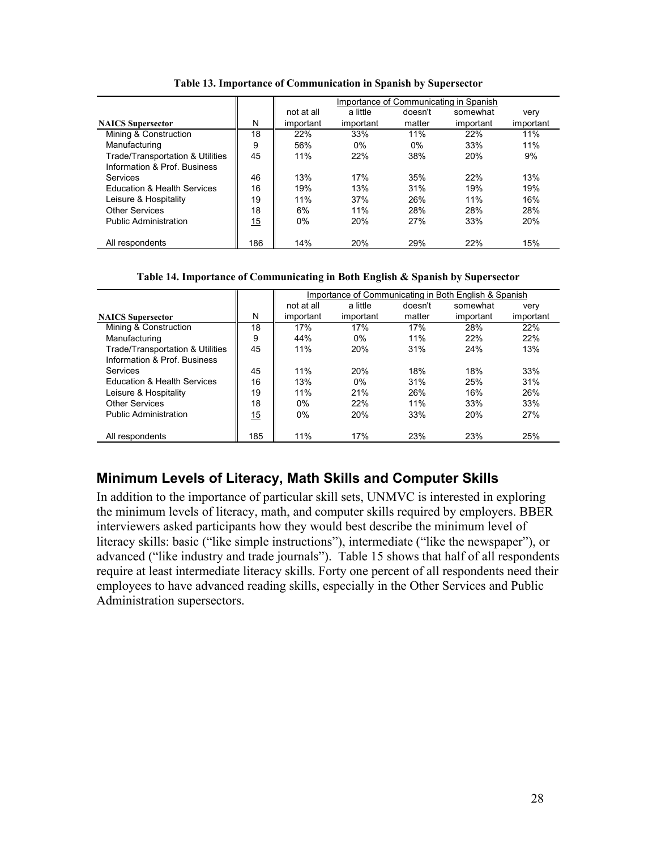|                                  |     | Importance of Communicating in Spanish |           |         |           |           |  |  |
|----------------------------------|-----|----------------------------------------|-----------|---------|-----------|-----------|--|--|
|                                  |     | not at all                             | a little  | doesn't | somewhat  | very      |  |  |
| <b>NAICS</b> Supersector         | N   | important                              | important | matter  | important | important |  |  |
| Mining & Construction            | 18  | 22%                                    | 33%       | 11%     | 22%       | 11%       |  |  |
| Manufacturing                    | 9   | 56%                                    | 0%        | $0\%$   | 33%       | 11%       |  |  |
| Trade/Transportation & Utilities | 45  | 11%                                    | 22%       | 38%     | 20%       | 9%        |  |  |
| Information & Prof. Business     |     |                                        |           |         |           |           |  |  |
| Services                         | 46  | 13%                                    | 17%       | 35%     | 22%       | 13%       |  |  |
| Education & Health Services      | 16  | 19%                                    | 13%       | 31%     | 19%       | 19%       |  |  |
| Leisure & Hospitality            | 19  | 11%                                    | 37%       | 26%     | 11%       | 16%       |  |  |
| <b>Other Services</b>            | 18  | 6%                                     | 11%       | 28%     | 28%       | 28%       |  |  |
| <b>Public Administration</b>     | 15  | $0\%$                                  | 20%       | 27%     | 33%       | 20%       |  |  |
|                                  |     |                                        |           |         |           |           |  |  |
| All respondents                  | 186 | 14%                                    | 20%       | 29%     | 22%       | 15%       |  |  |

**Table 13. Importance of Communication in Spanish by Supersector** 

#### **Table 14. Importance of Communicating in Both English & Spanish by Supersector**

|                                  |     | Importance of Communicating in Both English & Spanish |            |         |           |           |  |  |  |
|----------------------------------|-----|-------------------------------------------------------|------------|---------|-----------|-----------|--|--|--|
|                                  |     | not at all                                            | a little   | doesn't | somewhat  | very      |  |  |  |
| <b>NAICS</b> Supersector         | N   | important                                             | important  | matter  | important | important |  |  |  |
| Mining & Construction            | 18  | 17%                                                   | 17%        | 17%     | 28%       | 22%       |  |  |  |
| Manufacturing                    | 9   | 44%                                                   | $0\%$      | 11%     | 22%       | 22%       |  |  |  |
| Trade/Transportation & Utilities | 45  | 11%                                                   | <b>20%</b> | 31%     | 24%       | 13%       |  |  |  |
| Information & Prof. Business     |     |                                                       |            |         |           |           |  |  |  |
| Services                         | 45  | 11%                                                   | <b>20%</b> | 18%     | 18%       | 33%       |  |  |  |
| Education & Health Services      | 16  | 13%                                                   | $0\%$      | 31%     | 25%       | 31%       |  |  |  |
| Leisure & Hospitality            | 19  | 11%                                                   | 21%        | 26%     | 16%       | 26%       |  |  |  |
| <b>Other Services</b>            | 18  | $0\%$                                                 | 22%        | 11%     | 33%       | 33%       |  |  |  |
| <b>Public Administration</b>     | 15  | 0%                                                    | 20%        | 33%     | 20%       | 27%       |  |  |  |
|                                  |     |                                                       |            |         |           |           |  |  |  |
| All respondents                  | 185 | 11%                                                   | 17%        | 23%     | 23%       | 25%       |  |  |  |

### **Minimum Levels of Literacy, Math Skills and Computer Skills**

In addition to the importance of particular skill sets, UNMVC is interested in exploring the minimum levels of literacy, math, and computer skills required by employers. BBER interviewers asked participants how they would best describe the minimum level of literacy skills: basic ("like simple instructions"), intermediate ("like the newspaper"), or advanced ("like industry and trade journals"). Table 15 shows that half of all respondents require at least intermediate literacy skills. Forty one percent of all respondents need their employees to have advanced reading skills, especially in the Other Services and Public Administration supersectors.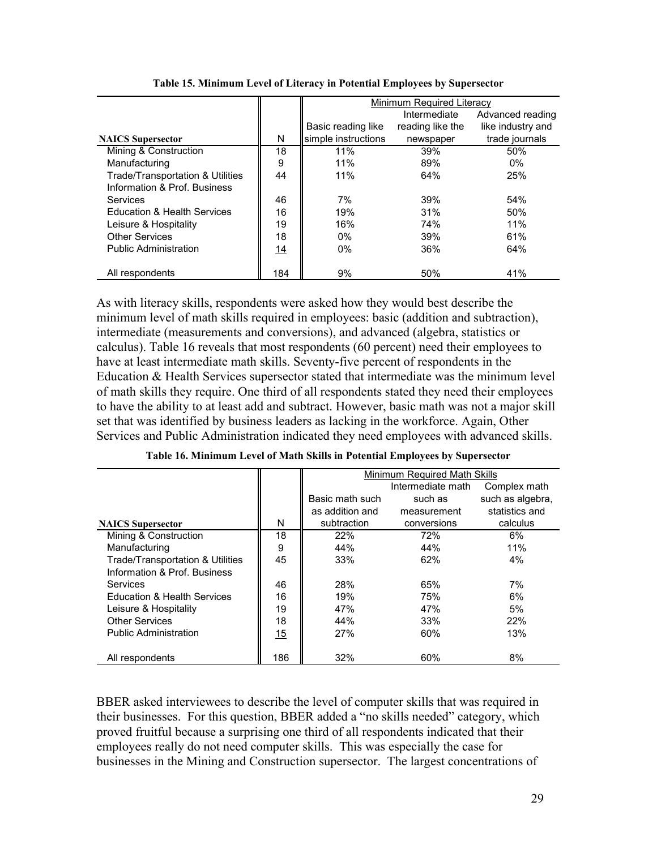|                                  |     | Minimum Required Literacy |                  |                   |  |  |
|----------------------------------|-----|---------------------------|------------------|-------------------|--|--|
|                                  |     |                           | Intermediate     | Advanced reading  |  |  |
|                                  |     | Basic reading like        | reading like the | like industry and |  |  |
| <b>NAICS</b> Supersector         | N   | simple instructions       | newspaper        | trade journals    |  |  |
| Mining & Construction            | 18  | 11%                       | 39%              | 50%               |  |  |
| Manufacturing                    | 9   | 11%                       | 89%              | $0\%$             |  |  |
| Trade/Transportation & Utilities | 44  | 11%                       | 64%              | 25%               |  |  |
| Information & Prof. Business     |     |                           |                  |                   |  |  |
| Services                         | 46  | 7%                        | 39%              | 54%               |  |  |
| Education & Health Services      | 16  | 19%                       | 31%              | 50%               |  |  |
| Leisure & Hospitality            | 19  | 16%                       | 74%              | 11%               |  |  |
| <b>Other Services</b>            | 18  | $0\%$                     | 39%              | 61%               |  |  |
| <b>Public Administration</b>     | 14  | $0\%$                     | 36%              | 64%               |  |  |
|                                  |     |                           |                  |                   |  |  |
| All respondents                  | 184 | 9%                        | 50%              | 41%               |  |  |

**Table 15. Minimum Level of Literacy in Potential Employees by Supersector** 

As with literacy skills, respondents were asked how they would best describe the minimum level of math skills required in employees: basic (addition and subtraction), intermediate (measurements and conversions), and advanced (algebra, statistics or calculus). Table 16 reveals that most respondents (60 percent) need their employees to have at least intermediate math skills. Seventy-five percent of respondents in the Education & Health Services supersector stated that intermediate was the minimum level of math skills they require. One third of all respondents stated they need their employees to have the ability to at least add and subtract. However, basic math was not a major skill set that was identified by business leaders as lacking in the workforce. Again, Other Services and Public Administration indicated they need employees with advanced skills.

|                                        |     | Minimum Required Math Skills |                   |                  |  |  |  |
|----------------------------------------|-----|------------------------------|-------------------|------------------|--|--|--|
|                                        |     |                              | Intermediate math | Complex math     |  |  |  |
|                                        |     | Basic math such              | such as           | such as algebra, |  |  |  |
|                                        |     | as addition and              | measurement       | statistics and   |  |  |  |
| <b>NAICS</b> Supersector               | N   | subtraction                  | conversions       | calculus         |  |  |  |
| Mining & Construction                  | 18  | 22%                          | 72%               | 6%               |  |  |  |
| Manufacturing                          | 9   | 44%                          | 44%               | 11%              |  |  |  |
| Trade/Transportation & Utilities       | 45  | 33%                          | 62%               | 4%               |  |  |  |
| Information & Prof. Business           |     |                              |                   |                  |  |  |  |
| Services                               | 46  | 28%                          | 65%               | 7%               |  |  |  |
| <b>Education &amp; Health Services</b> | 16  | 19%                          | 75%               | 6%               |  |  |  |
| Leisure & Hospitality                  | 19  | 47%                          | 47%               | 5%               |  |  |  |
| <b>Other Services</b>                  | 18  | 44%                          | 33%               | <b>22%</b>       |  |  |  |
| <b>Public Administration</b>           | 15  | 27%                          | 60%               | 13%              |  |  |  |
| All respondents                        | 186 | 32%                          | 60%               | 8%               |  |  |  |

**Table 16. Minimum Level of Math Skills in Potential Employees by Supersector** 

BBER asked interviewees to describe the level of computer skills that was required in their businesses. For this question, BBER added a "no skills needed" category, which proved fruitful because a surprising one third of all respondents indicated that their employees really do not need computer skills. This was especially the case for businesses in the Mining and Construction supersector. The largest concentrations of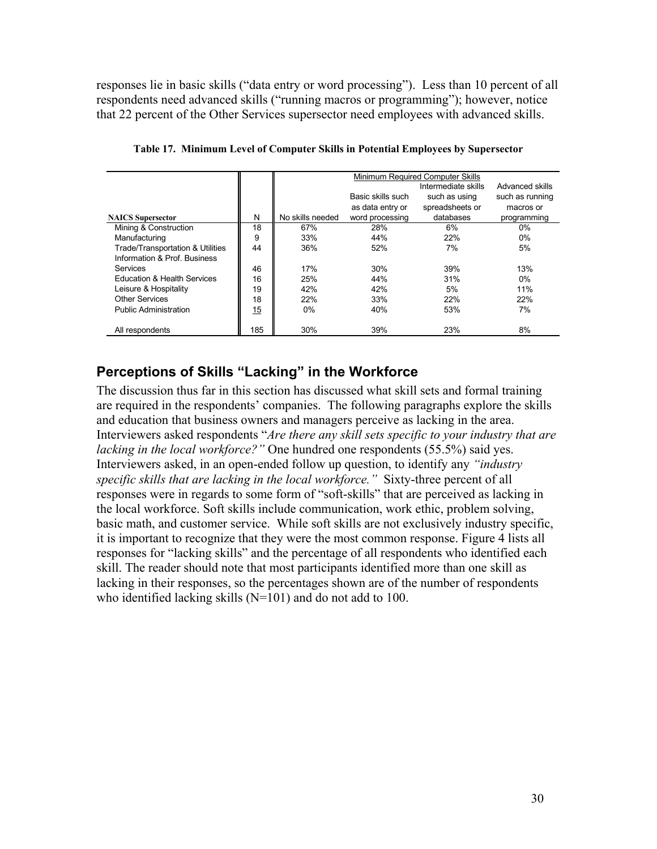responses lie in basic skills ("data entry or word processing"). Less than 10 percent of all respondents need advanced skills ("running macros or programming"); however, notice that 22 percent of the Other Services supersector need employees with advanced skills.

|                                  |     | Minimum Required Computer Skills |                   |                 |                 |  |  |  |  |
|----------------------------------|-----|----------------------------------|-------------------|-----------------|-----------------|--|--|--|--|
|                                  |     |                                  | Advanced skills   |                 |                 |  |  |  |  |
|                                  |     |                                  | Basic skills such | such as using   | such as running |  |  |  |  |
|                                  |     |                                  | as data entry or  | spreadsheets or | macros or       |  |  |  |  |
| <b>NAICS</b> Supersector         | N   | No skills needed                 | word processing   | databases       | programming     |  |  |  |  |
| Mining & Construction            | 18  | 67%                              | 28%               | 6%              | $0\%$           |  |  |  |  |
| Manufacturing                    | 9   | 33%                              | 44%               | 22%             | 0%              |  |  |  |  |
| Trade/Transportation & Utilities | 44  | 36%                              | 52%               | 7%              | 5%              |  |  |  |  |
| Information & Prof Business      |     |                                  |                   |                 |                 |  |  |  |  |
| Services                         | 46  | 17%                              | 30%               | 39%             | 13%             |  |  |  |  |
| Education & Health Services      | 16  | 25%                              | 44%               | 31%             | $0\%$           |  |  |  |  |
| Leisure & Hospitality            | 19  | 42%                              | 42%               | 5%              | 11%             |  |  |  |  |
| <b>Other Services</b>            | 18  | 22%                              | 33%               | 22%             | 22%             |  |  |  |  |
| <b>Public Administration</b>     | 15  | $0\%$                            | 40%               | 53%             | 7%              |  |  |  |  |
|                                  |     |                                  |                   |                 |                 |  |  |  |  |
| All respondents                  | 185 | 30%                              | 39%               | 23%             | 8%              |  |  |  |  |

**Table 17. Minimum Level of Computer Skills in Potential Employees by Supersector** 

#### **Perceptions of Skills "Lacking" in the Workforce**

The discussion thus far in this section has discussed what skill sets and formal training are required in the respondents' companies. The following paragraphs explore the skills and education that business owners and managers perceive as lacking in the area. Interviewers asked respondents "*Are there any skill sets specific to your industry that are lacking in the local workforce?"* One hundred one respondents (55.5%) said yes. Interviewers asked, in an open-ended follow up question, to identify any *"industry specific skills that are lacking in the local workforce."* Sixty-three percent of all responses were in regards to some form of "soft-skills" that are perceived as lacking in the local workforce. Soft skills include communication, work ethic, problem solving, basic math, and customer service. While soft skills are not exclusively industry specific, it is important to recognize that they were the most common response. Figure 4 lists all responses for "lacking skills" and the percentage of all respondents who identified each skill. The reader should note that most participants identified more than one skill as lacking in their responses, so the percentages shown are of the number of respondents who identified lacking skills (N=101) and do not add to 100.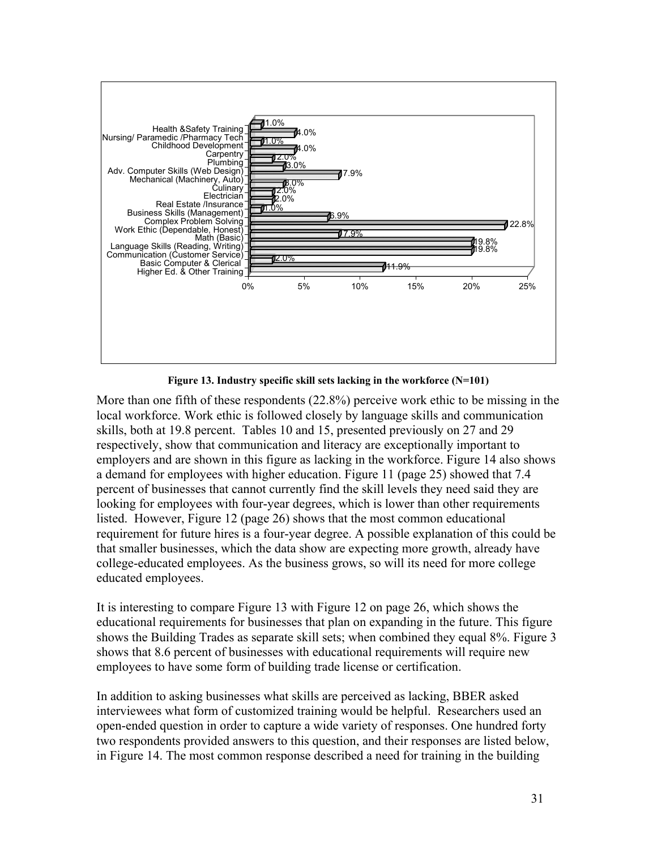

**Figure 13. Industry specific skill sets lacking in the workforce (N=101)** 

More than one fifth of these respondents (22.8%) perceive work ethic to be missing in the local workforce. Work ethic is followed closely by language skills and communication skills, both at 19.8 percent. Tables 10 and 15, presented previously on 27 and 29 respectively, show that communication and literacy are exceptionally important to employers and are shown in this figure as lacking in the workforce. Figure 14 also shows a demand for employees with higher education. Figure 11 (page 25) showed that 7.4 percent of businesses that cannot currently find the skill levels they need said they are looking for employees with four-year degrees, which is lower than other requirements listed. However, Figure 12 (page 26) shows that the most common educational requirement for future hires is a four-year degree. A possible explanation of this could be that smaller businesses, which the data show are expecting more growth, already have college-educated employees. As the business grows, so will its need for more college educated employees.

It is interesting to compare Figure 13 with Figure 12 on page 26, which shows the educational requirements for businesses that plan on expanding in the future. This figure shows the Building Trades as separate skill sets; when combined they equal 8%. Figure 3 shows that 8.6 percent of businesses with educational requirements will require new employees to have some form of building trade license or certification.

In addition to asking businesses what skills are perceived as lacking, BBER asked interviewees what form of customized training would be helpful. Researchers used an open-ended question in order to capture a wide variety of responses. One hundred forty two respondents provided answers to this question, and their responses are listed below, in Figure 14. The most common response described a need for training in the building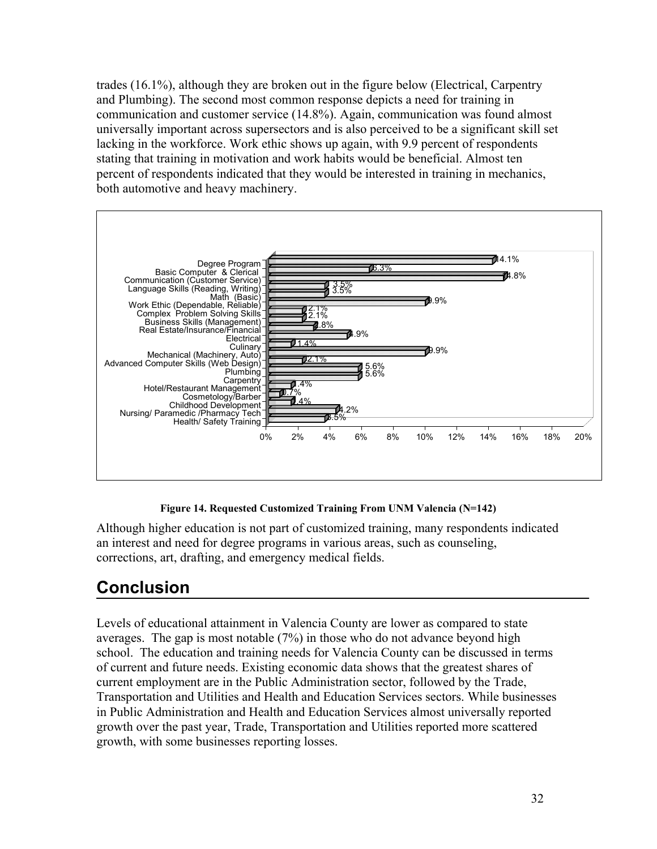trades (16.1%), although they are broken out in the figure below (Electrical, Carpentry and Plumbing). The second most common response depicts a need for training in communication and customer service (14.8%). Again, communication was found almost universally important across supersectors and is also perceived to be a significant skill set lacking in the workforce. Work ethic shows up again, with 9.9 percent of respondents stating that training in motivation and work habits would be beneficial. Almost ten percent of respondents indicated that they would be interested in training in mechanics, both automotive and heavy machinery.



**Figure 14. Requested Customized Training From UNM Valencia (N=142)** 

Although higher education is not part of customized training, many respondents indicated an interest and need for degree programs in various areas, such as counseling, corrections, art, drafting, and emergency medical fields.

# **Conclusion**

Levels of educational attainment in Valencia County are lower as compared to state averages. The gap is most notable (7%) in those who do not advance beyond high school. The education and training needs for Valencia County can be discussed in terms of current and future needs. Existing economic data shows that the greatest shares of current employment are in the Public Administration sector, followed by the Trade, Transportation and Utilities and Health and Education Services sectors. While businesses in Public Administration and Health and Education Services almost universally reported growth over the past year, Trade, Transportation and Utilities reported more scattered growth, with some businesses reporting losses.